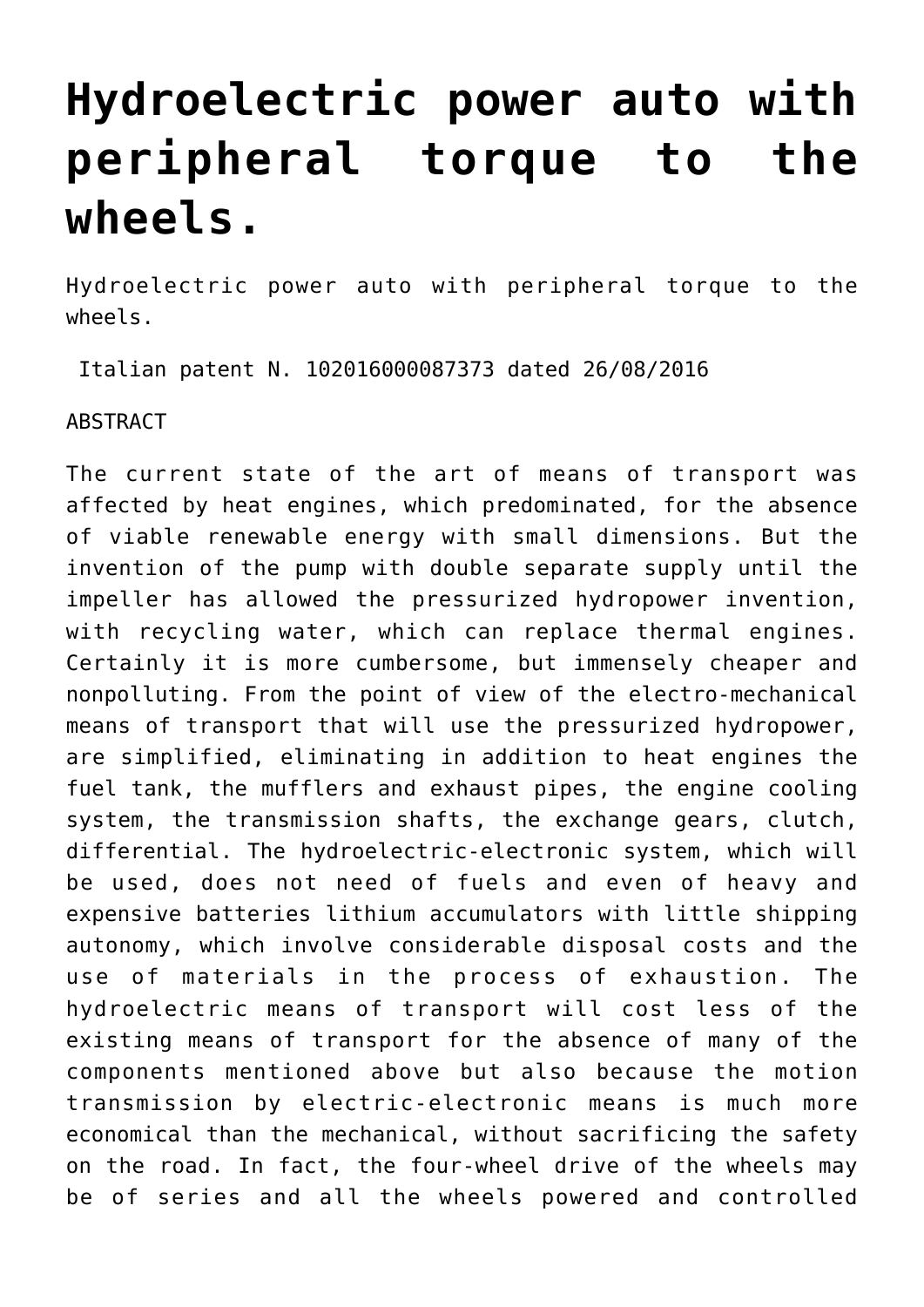## **[Hydroelectric power auto with](https://www.spawhe.eu/hydroelectric-power-auto-with-peripheral-torque-to-the-wheels/) [peripheral torque to the](https://www.spawhe.eu/hydroelectric-power-auto-with-peripheral-torque-to-the-wheels/) [wheels.](https://www.spawhe.eu/hydroelectric-power-auto-with-peripheral-torque-to-the-wheels/)**

Hydroelectric power auto with peripheral torque to the wheels.

Italian patent N. 102016000087373 dated 26/08/2016

ABSTRACT

The current state of the art of means of transport was affected by heat engines, which predominated, for the absence of viable renewable energy with small dimensions. But the invention of the pump with double separate supply until the impeller has allowed the pressurized hydropower invention, with recycling water, which can replace thermal engines. Certainly it is more cumbersome, but immensely cheaper and nonpolluting. From the point of view of the electro-mechanical means of transport that will use the pressurized hydropower, are simplified, eliminating in addition to heat engines the fuel tank, the mufflers and exhaust pipes, the engine cooling system, the transmission shafts, the exchange gears, clutch, differential. The hydroelectric-electronic system, which will be used, does not need of fuels and even of heavy and expensive batteries lithium accumulators with little shipping autonomy, which involve considerable disposal costs and the use of materials in the process of exhaustion. The hydroelectric means of transport will cost less of the existing means of transport for the absence of many of the components mentioned above but also because the motion transmission by electric-electronic means is much more economical than the mechanical, without sacrificing the safety on the road. In fact, the four-wheel drive of the wheels may be of series and all the wheels powered and controlled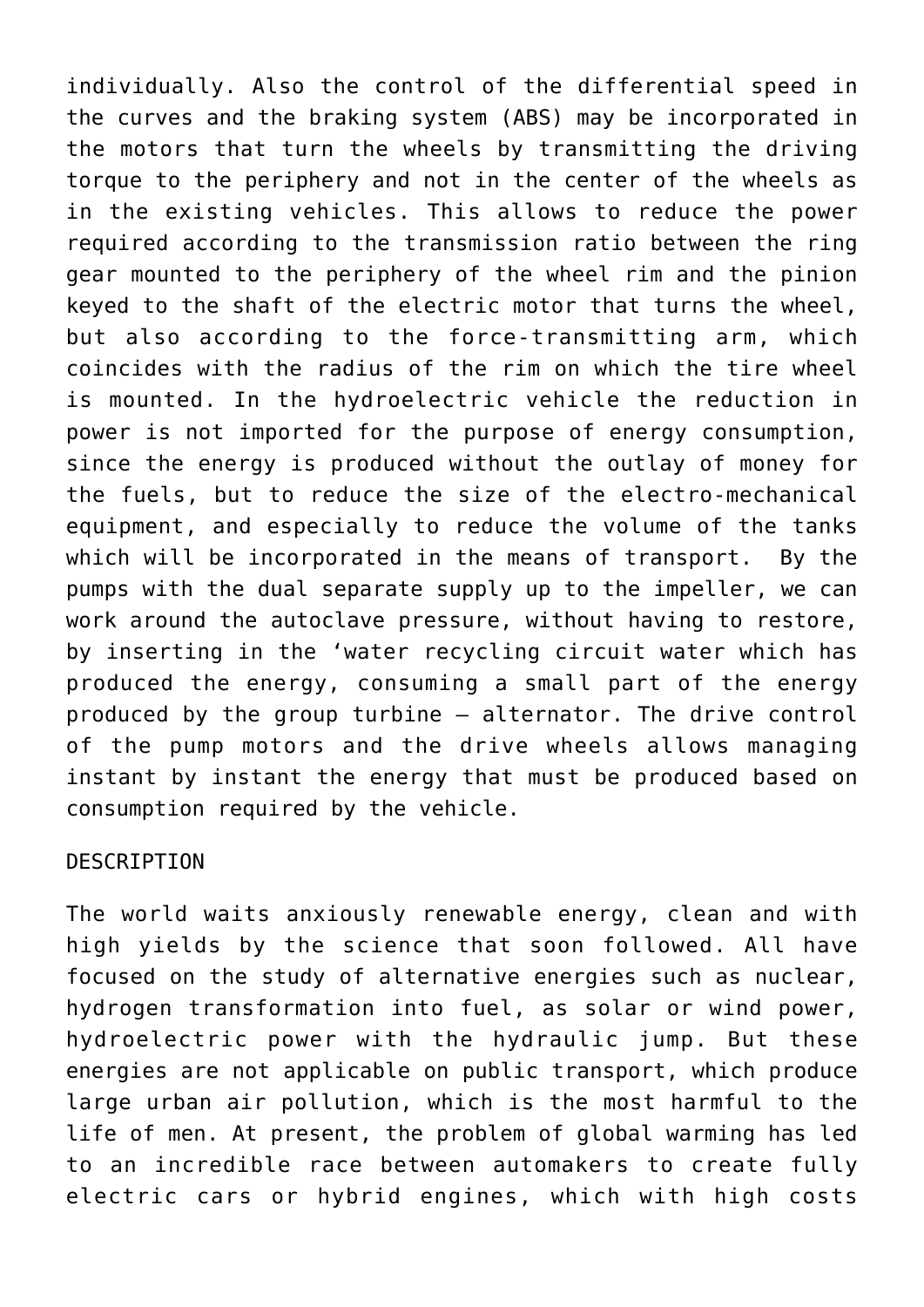individually. Also the control of the differential speed in the curves and the braking system (ABS) may be incorporated in the motors that turn the wheels by transmitting the driving torque to the periphery and not in the center of the wheels as in the existing vehicles. This allows to reduce the power required according to the transmission ratio between the ring gear mounted to the periphery of the wheel rim and the pinion keyed to the shaft of the electric motor that turns the wheel, but also according to the force-transmitting arm, which coincides with the radius of the rim on which the tire wheel is mounted. In the hydroelectric vehicle the reduction in power is not imported for the purpose of energy consumption, since the energy is produced without the outlay of money for the fuels, but to reduce the size of the electro-mechanical equipment, and especially to reduce the volume of the tanks which will be incorporated in the means of transport. By the pumps with the dual separate supply up to the impeller, we can work around the autoclave pressure, without having to restore, by inserting in the 'water recycling circuit water which has produced the energy, consuming a small part of the energy produced by the group turbine – alternator. The drive control of the pump motors and the drive wheels allows managing instant by instant the energy that must be produced based on consumption required by the vehicle.

## DESCRIPTION

The world waits anxiously renewable energy, clean and with high yields by the science that soon followed. All have focused on the study of alternative energies such as nuclear, hydrogen transformation into fuel, as solar or wind power, hydroelectric power with the hydraulic jump. But these energies are not applicable on public transport, which produce large urban air pollution, which is the most harmful to the life of men. At present, the problem of global warming has led to an incredible race between automakers to create fully electric cars or hybrid engines, which with high costs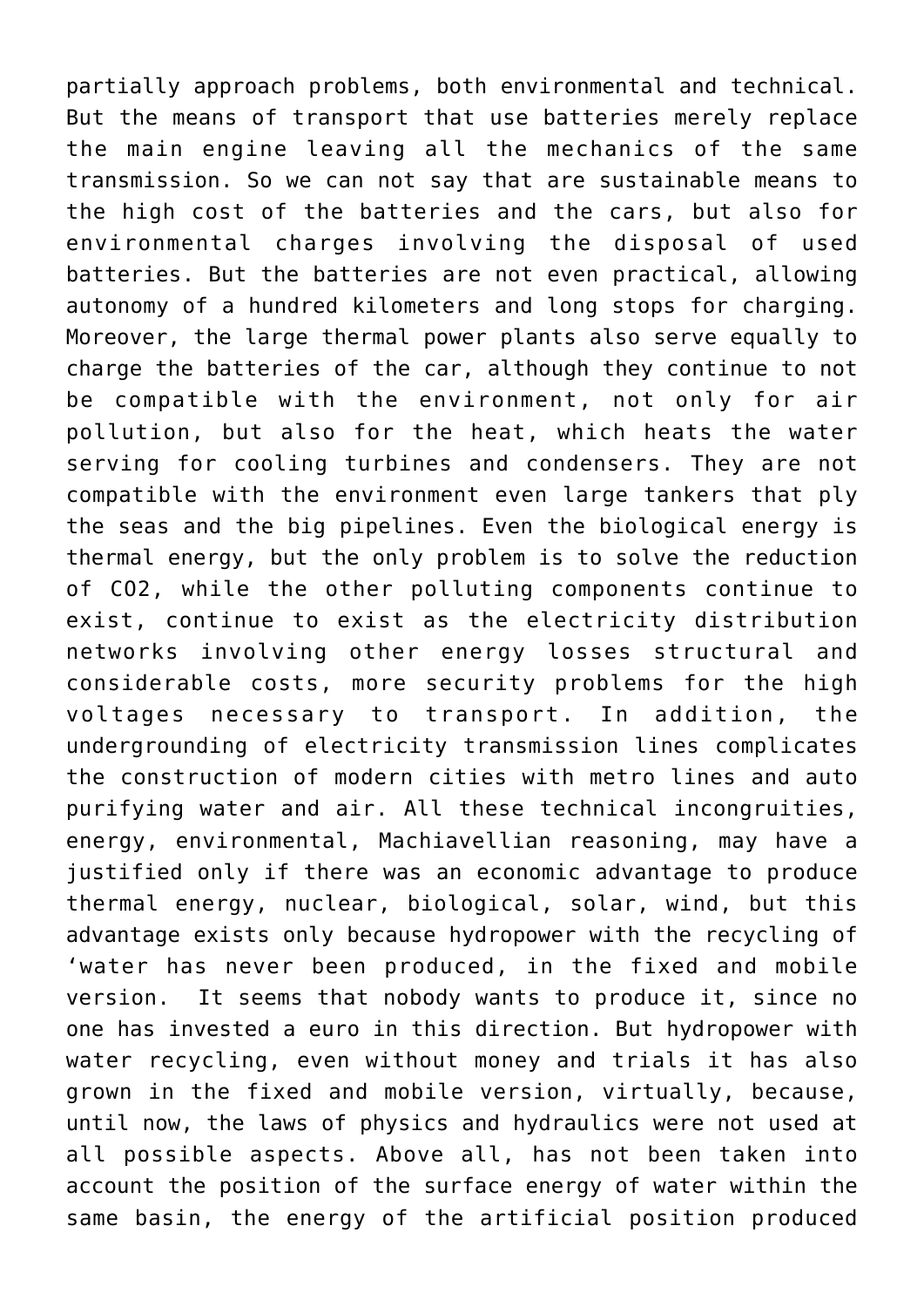partially approach problems, both environmental and technical. But the means of transport that use batteries merely replace the main engine leaving all the mechanics of the same transmission. So we can not say that are sustainable means to the high cost of the batteries and the cars, but also for environmental charges involving the disposal of used batteries. But the batteries are not even practical, allowing autonomy of a hundred kilometers and long stops for charging. Moreover, the large thermal power plants also serve equally to charge the batteries of the car, although they continue to not be compatible with the environment, not only for air pollution, but also for the heat, which heats the water serving for cooling turbines and condensers. They are not compatible with the environment even large tankers that ply the seas and the big pipelines. Even the biological energy is thermal energy, but the only problem is to solve the reduction of CO2, while the other polluting components continue to exist, continue to exist as the electricity distribution networks involving other energy losses structural and considerable costs, more security problems for the high voltages necessary to transport. In addition, the undergrounding of electricity transmission lines complicates the construction of modern cities with metro lines and auto purifying water and air. All these technical incongruities, energy, environmental, Machiavellian reasoning, may have a justified only if there was an economic advantage to produce thermal energy, nuclear, biological, solar, wind, but this advantage exists only because hydropower with the recycling of 'water has never been produced, in the fixed and mobile version. It seems that nobody wants to produce it, since no one has invested a euro in this direction. But hydropower with water recycling, even without money and trials it has also grown in the fixed and mobile version, virtually, because, until now, the laws of physics and hydraulics were not used at all possible aspects. Above all, has not been taken into account the position of the surface energy of water within the same basin, the energy of the artificial position produced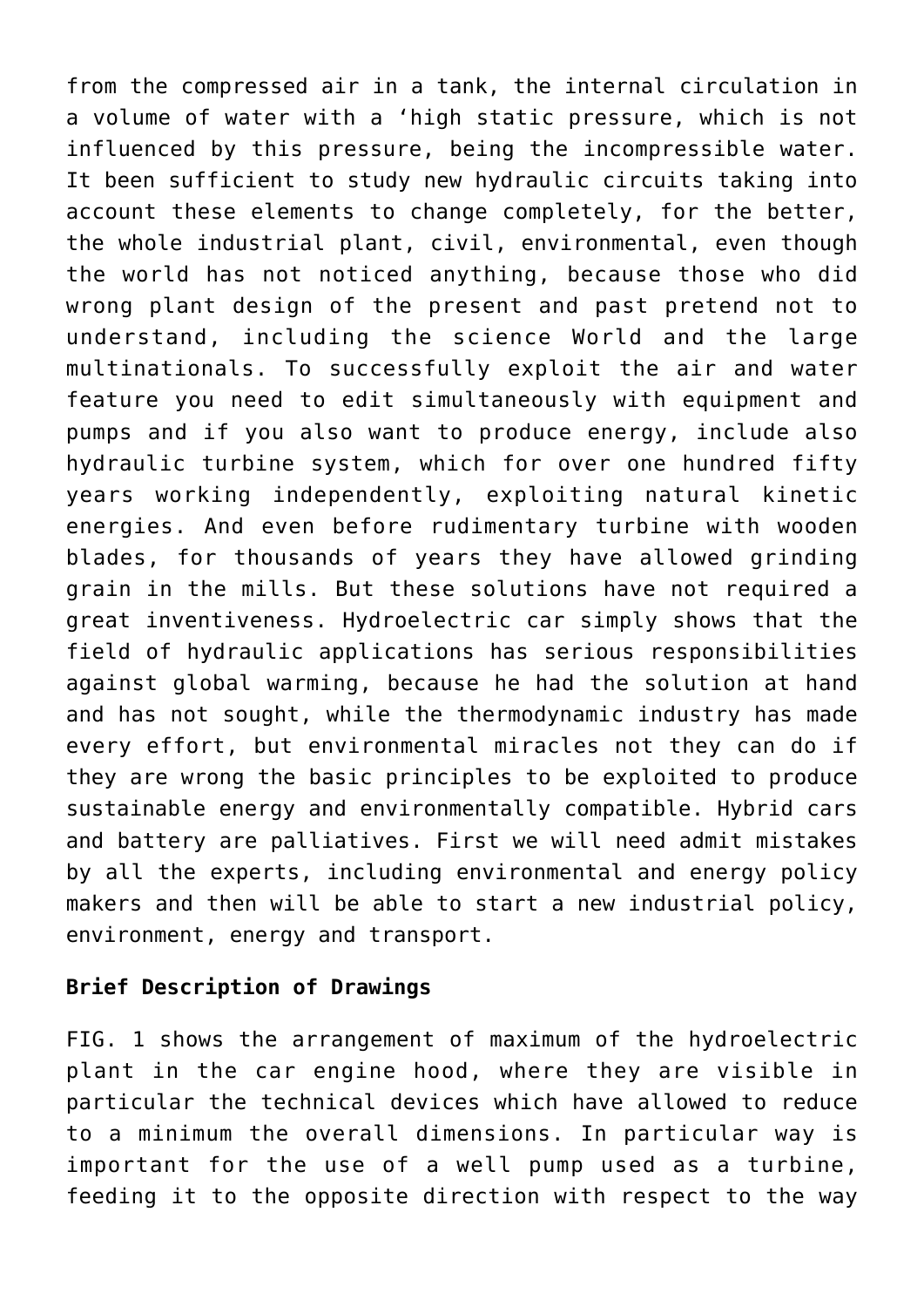from the compressed air in a tank, the internal circulation in a volume of water with a 'high static pressure, which is not influenced by this pressure, being the incompressible water. It been sufficient to study new hydraulic circuits taking into account these elements to change completely, for the better, the whole industrial plant, civil, environmental, even though the world has not noticed anything, because those who did wrong plant design of the present and past pretend not to understand, including the science World and the large multinationals. To successfully exploit the air and water feature you need to edit simultaneously with equipment and pumps and if you also want to produce energy, include also hydraulic turbine system, which for over one hundred fifty years working independently, exploiting natural kinetic energies. And even before rudimentary turbine with wooden blades, for thousands of years they have allowed grinding grain in the mills. But these solutions have not required a great inventiveness. Hydroelectric car simply shows that the field of hydraulic applications has serious responsibilities against global warming, because he had the solution at hand and has not sought, while the thermodynamic industry has made every effort, but environmental miracles not they can do if they are wrong the basic principles to be exploited to produce sustainable energy and environmentally compatible. Hybrid cars and battery are palliatives. First we will need admit mistakes by all the experts, including environmental and energy policy makers and then will be able to start a new industrial policy, environment, energy and transport.

## **Brief Description of Drawings**

FIG. 1 shows the arrangement of maximum of the hydroelectric plant in the car engine hood, where they are visible in particular the technical devices which have allowed to reduce to a minimum the overall dimensions. In particular way is important for the use of a well pump used as a turbine, feeding it to the opposite direction with respect to the way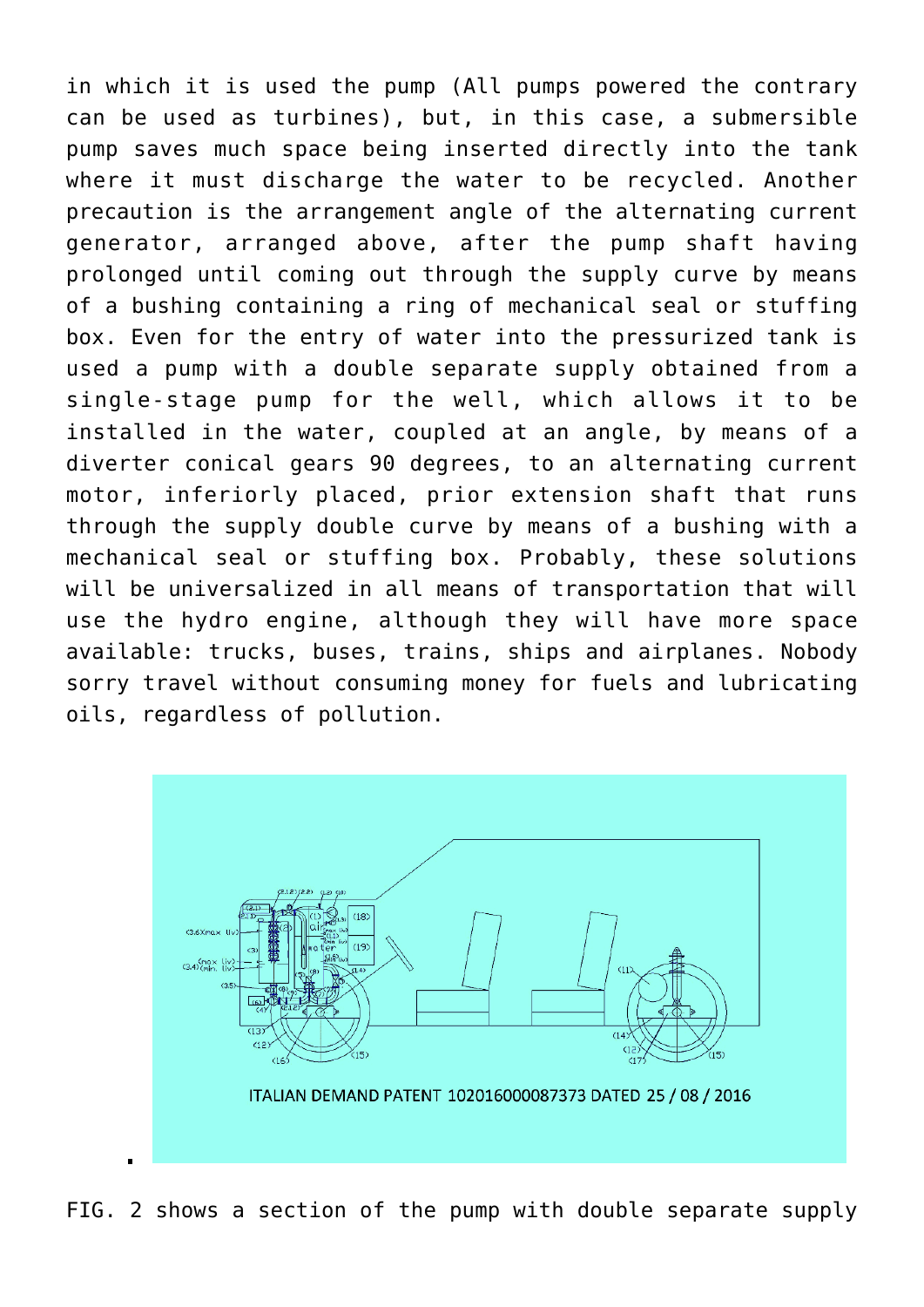in which it is used the pump (All pumps powered the contrary can be used as turbines), but, in this case, a submersible pump saves much space being inserted directly into the tank where it must discharge the water to be recycled. Another precaution is the arrangement angle of the alternating current generator, arranged above, after the pump shaft having prolonged until coming out through the supply curve by means of a bushing containing a ring of mechanical seal or stuffing box. Even for the entry of water into the pressurized tank is used a pump with a double separate supply obtained from a single-stage pump for the well, which allows it to be installed in the water, coupled at an angle, by means of a diverter conical gears 90 degrees, to an alternating current motor, inferiorly placed, prior extension shaft that runs through the supply double curve by means of a bushing with a mechanical seal or stuffing box. Probably, these solutions will be universalized in all means of transportation that will use the hydro engine, although they will have more space available: trucks, buses, trains, ships and airplanes. Nobody sorry travel without consuming money for fuels and lubricating oils, regardless of pollution.



FIG. 2 shows a section of the pump with double separate supply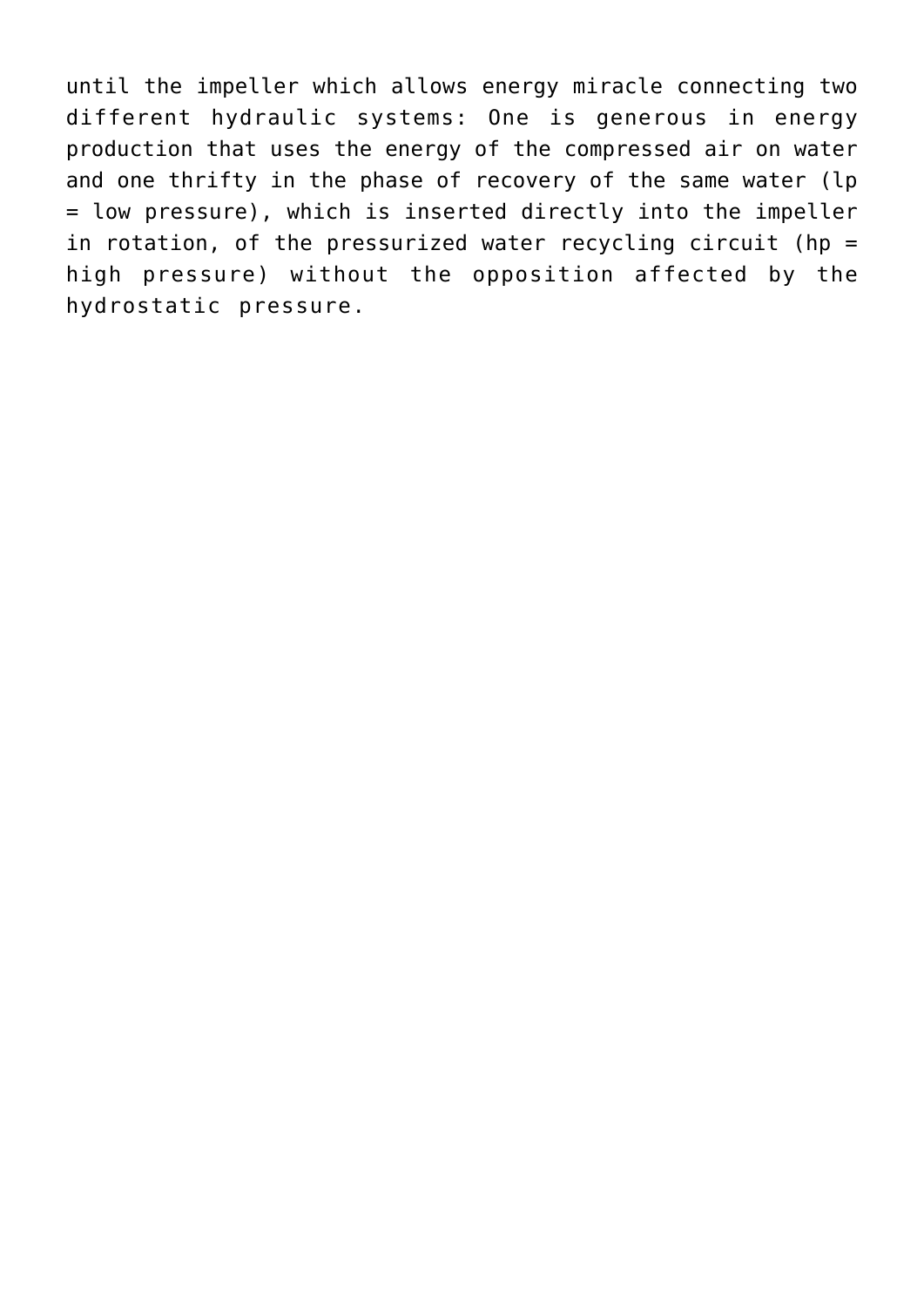until the impeller which allows energy miracle connecting two different hydraulic systems: One is generous in energy production that uses the energy of the compressed air on water and one thrifty in the phase of recovery of the same water (lp = low pressure), which is inserted directly into the impeller in rotation, of the pressurized water recycling circuit (hp = high pressure) without the opposition affected by the hydrostatic pressure.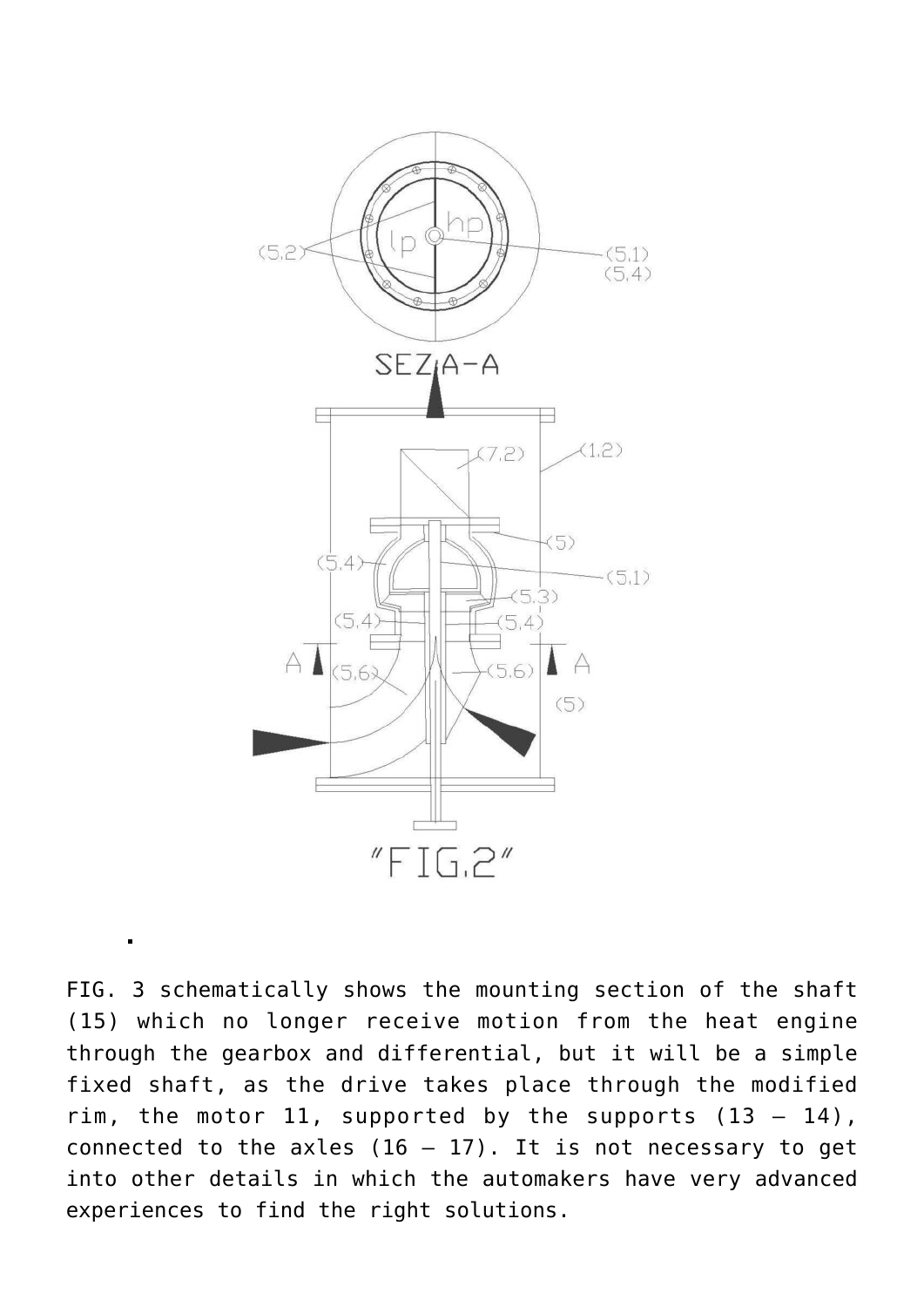

FIG. 3 schematically shows the mounting section of the shaft (15) which no longer receive motion from the heat engine through the gearbox and differential, but it will be a simple fixed shaft, as the drive takes place through the modified rim, the motor 11, supported by the supports  $(13 - 14)$ , connected to the axles  $(16 - 17)$ . It is not necessary to get into other details in which the automakers have very advanced experiences to find the right solutions.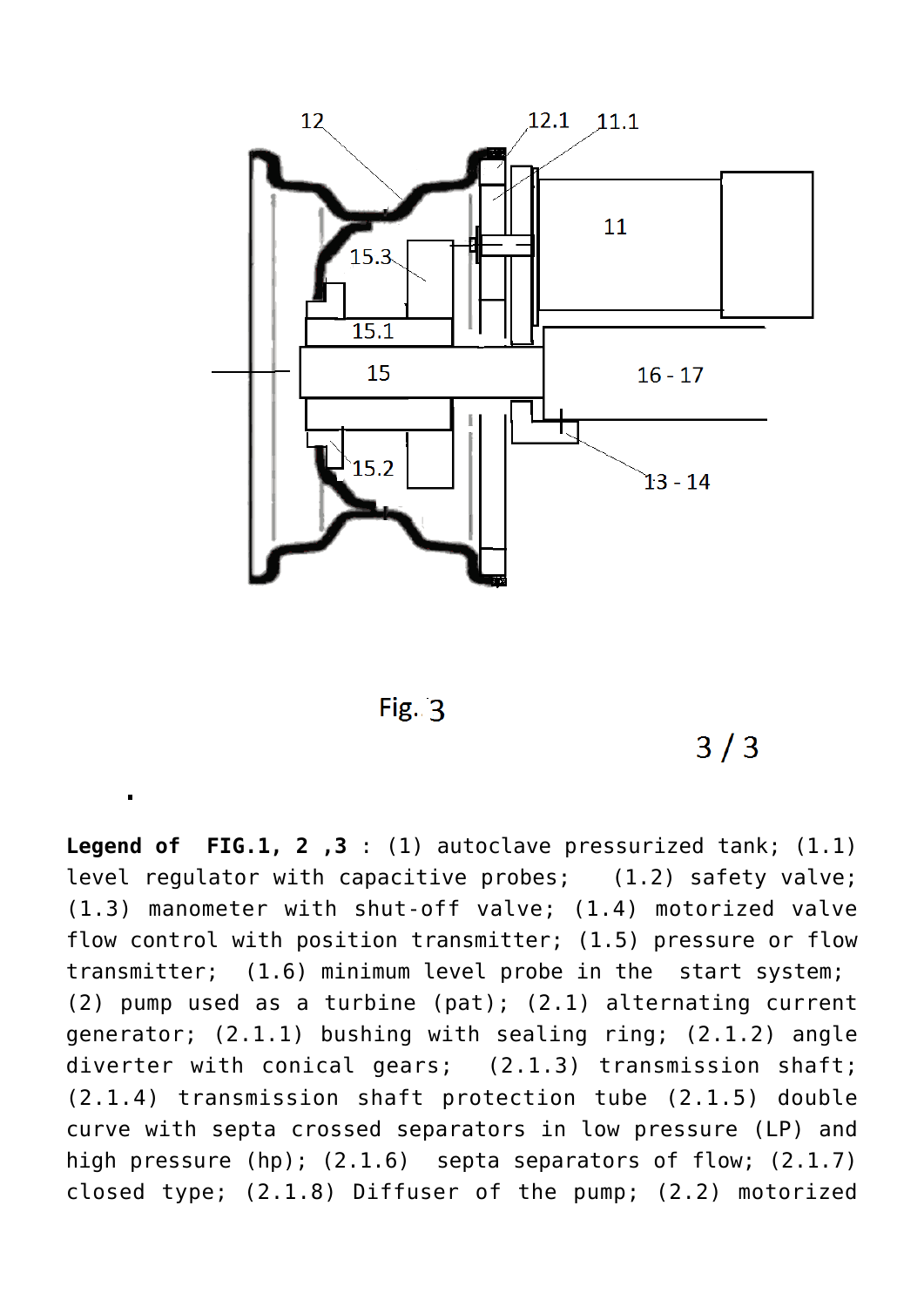



 $3/3$ 

**Legend of FIG.1, 2 ,3** : (1) autoclave pressurized tank; (1.1) level regulator with capacitive probes; (1.2) safety valve; (1.3) manometer with shut-off valve; (1.4) motorized valve flow control with position transmitter; (1.5) pressure or flow transmitter; (1.6) minimum level probe in the start system; (2) pump used as a turbine (pat); (2.1) alternating current generator; (2.1.1) bushing with sealing ring; (2.1.2) angle diverter with conical gears; (2.1.3) transmission shaft; (2.1.4) transmission shaft protection tube (2.1.5) double curve with septa crossed separators in low pressure (LP) and high pressure (hp); (2.1.6) septa separators of flow; (2.1.7) closed type; (2.1.8) Diffuser of the pump; (2.2) motorized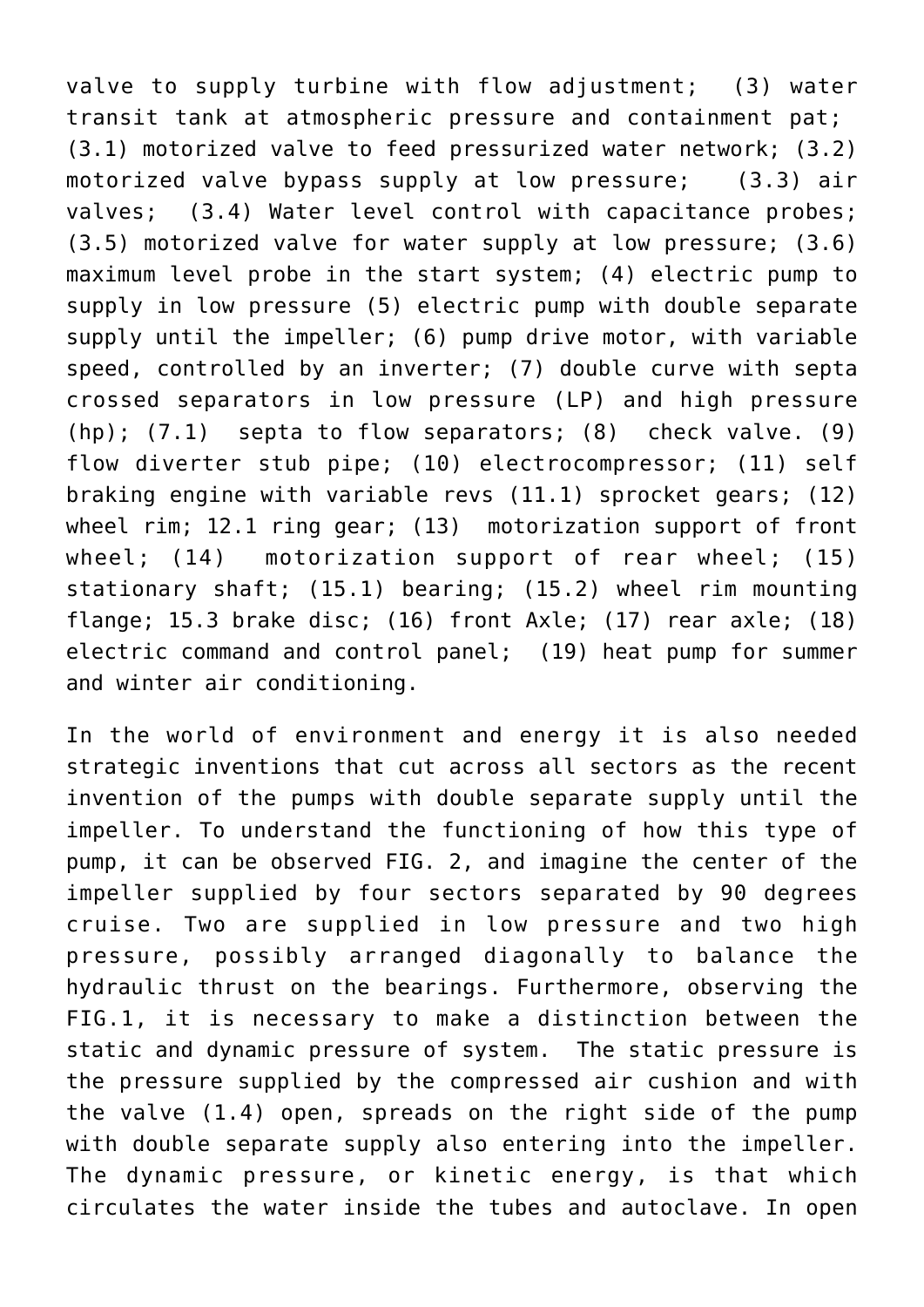valve to supply turbine with flow adjustment; (3) water transit tank at atmospheric pressure and containment pat; (3.1) motorized valve to feed pressurized water network; (3.2) motorized valve bypass supply at low pressure; (3.3) air valves; (3.4) Water level control with capacitance probes; (3.5) motorized valve for water supply at low pressure; (3.6) maximum level probe in the start system; (4) electric pump to supply in low pressure (5) electric pump with double separate supply until the impeller; (6) pump drive motor, with variable speed, controlled by an inverter; (7) double curve with septa crossed separators in low pressure (LP) and high pressure (hp); (7.1) septa to flow separators; (8) check valve. (9) flow diverter stub pipe; (10) electrocompressor; (11) self braking engine with variable revs (11.1) sprocket gears; (12) wheel rim; 12.1 ring gear; (13) motorization support of front wheel; (14) motorization support of rear wheel; (15) stationary shaft; (15.1) bearing; (15.2) wheel rim mounting flange; 15.3 brake disc; (16) front Axle; (17) rear axle; (18) electric command and control panel; (19) heat pump for summer and winter air conditioning.

In the world of environment and energy it is also needed strategic inventions that cut across all sectors as the recent invention of the pumps with double separate supply until the impeller. To understand the functioning of how this type of pump, it can be observed FIG. 2, and imagine the center of the impeller supplied by four sectors separated by 90 degrees cruise. Two are supplied in low pressure and two high pressure, possibly arranged diagonally to balance the hydraulic thrust on the bearings. Furthermore, observing the FIG.1, it is necessary to make a distinction between the static and dynamic pressure of system. The static pressure is the pressure supplied by the compressed air cushion and with the valve (1.4) open, spreads on the right side of the pump with double separate supply also entering into the impeller. The dynamic pressure, or kinetic energy, is that which circulates the water inside the tubes and autoclave. In open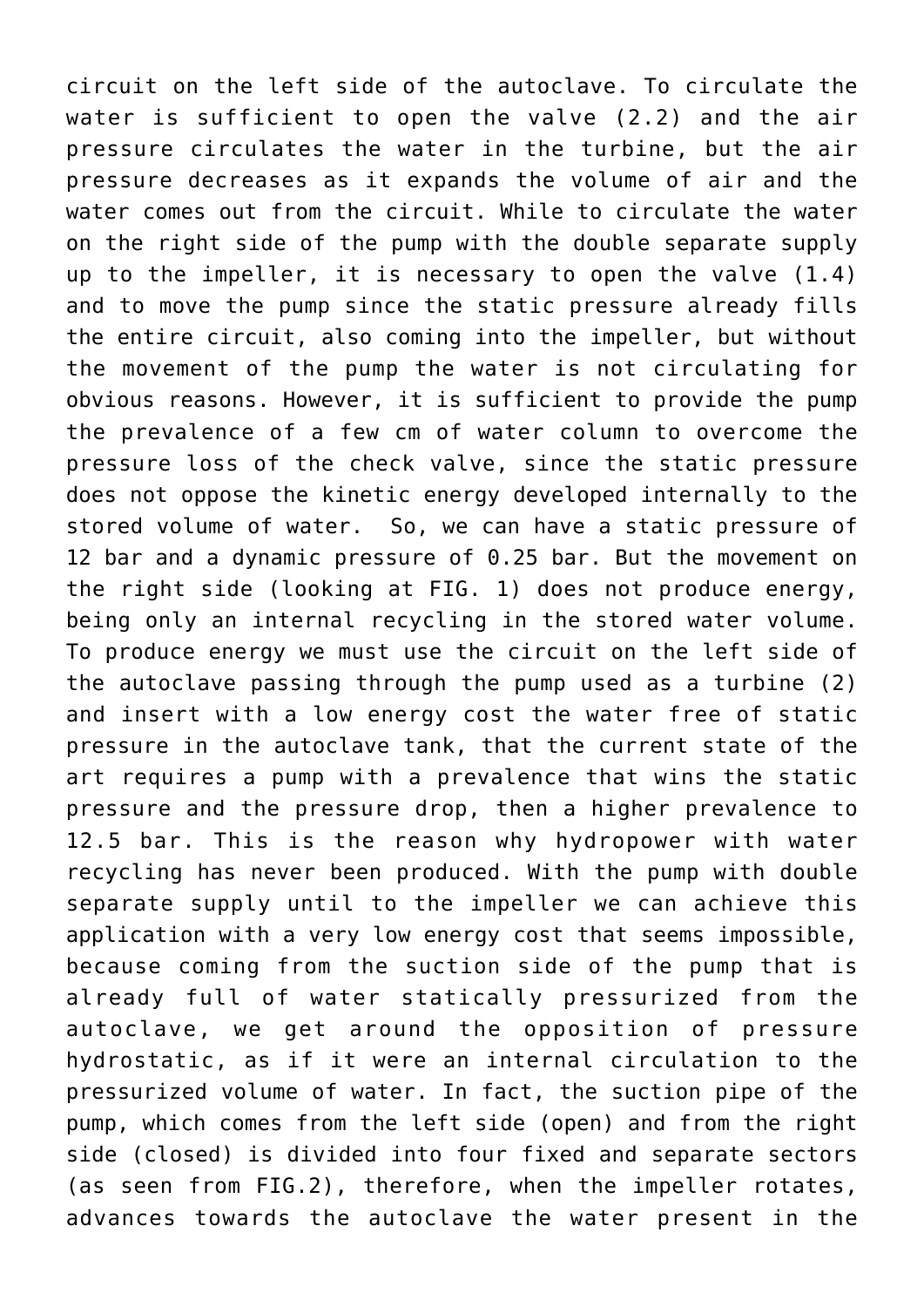circuit on the left side of the autoclave. To circulate the water is sufficient to open the valve (2.2) and the air pressure circulates the water in the turbine, but the air pressure decreases as it expands the volume of air and the water comes out from the circuit. While to circulate the water on the right side of the pump with the double separate supply up to the impeller, it is necessary to open the valve (1.4) and to move the pump since the static pressure already fills the entire circuit, also coming into the impeller, but without the movement of the pump the water is not circulating for obvious reasons. However, it is sufficient to provide the pump the prevalence of a few cm of water column to overcome the pressure loss of the check valve, since the static pressure does not oppose the kinetic energy developed internally to the stored volume of water. So, we can have a static pressure of 12 bar and a dynamic pressure of 0.25 bar. But the movement on the right side (looking at FIG. 1) does not produce energy, being only an internal recycling in the stored water volume. To produce energy we must use the circuit on the left side of the autoclave passing through the pump used as a turbine (2) and insert with a low energy cost the water free of static pressure in the autoclave tank, that the current state of the art requires a pump with a prevalence that wins the static pressure and the pressure drop, then a higher prevalence to 12.5 bar. This is the reason why hydropower with water recycling has never been produced. With the pump with double separate supply until to the impeller we can achieve this application with a very low energy cost that seems impossible, because coming from the suction side of the pump that is already full of water statically pressurized from the autoclave, we get around the opposition of pressure hydrostatic, as if it were an internal circulation to the pressurized volume of water. In fact, the suction pipe of the pump, which comes from the left side (open) and from the right side (closed) is divided into four fixed and separate sectors (as seen from FIG.2), therefore, when the impeller rotates, advances towards the autoclave the water present in the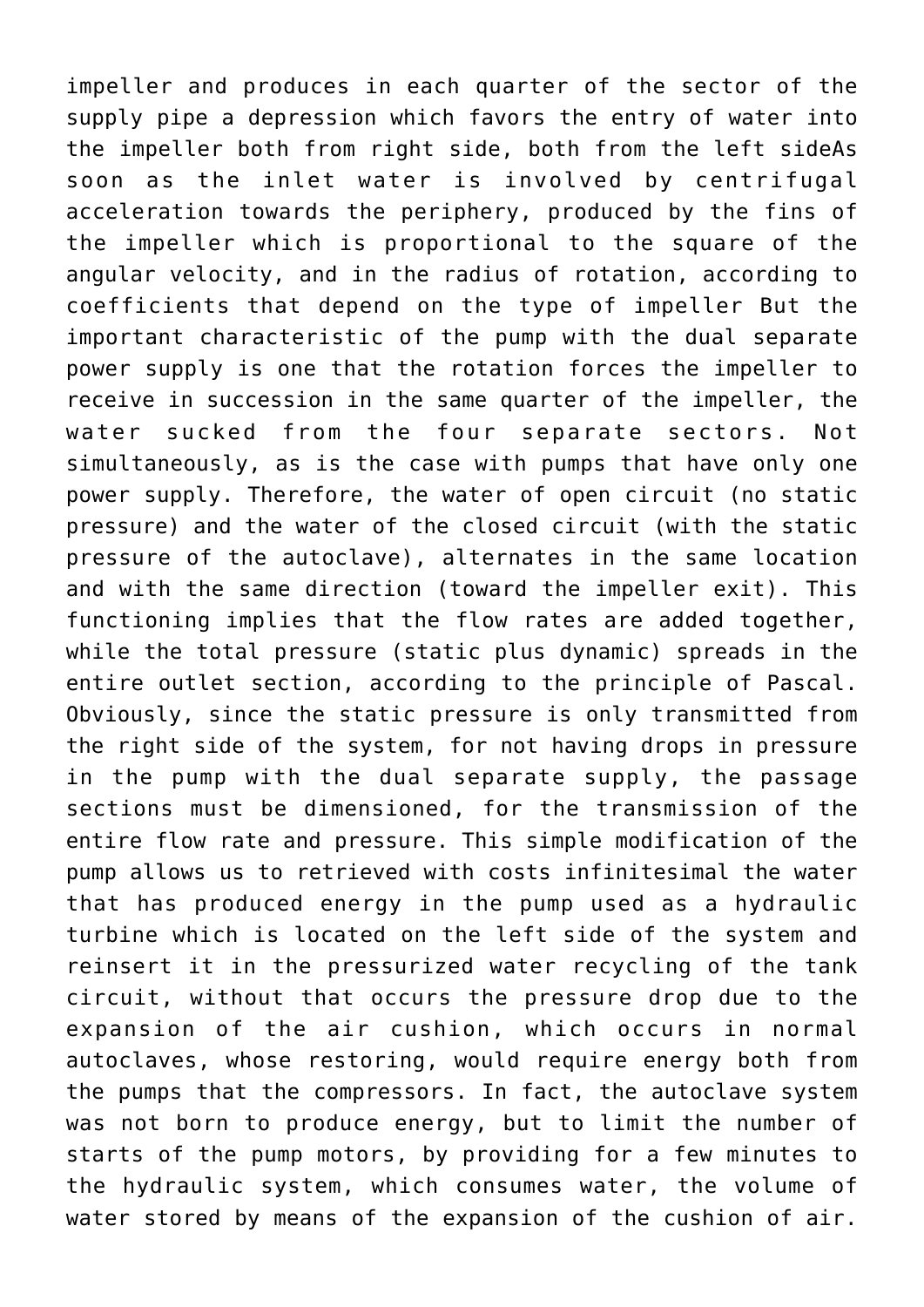impeller and produces in each quarter of the sector of the supply pipe a depression which favors the entry of water into the impeller both from right side, both from the left sideAs soon as the inlet water is involved by centrifugal acceleration towards the periphery, produced by the fins of the impeller which is proportional to the square of the angular velocity, and in the radius of rotation, according to coefficients that depend on the type of impeller But the important characteristic of the pump with the dual separate power supply is one that the rotation forces the impeller to receive in succession in the same quarter of the impeller, the water sucked from the four separate sectors. Not simultaneously, as is the case with pumps that have only one power supply. Therefore, the water of open circuit (no static pressure) and the water of the closed circuit (with the static pressure of the autoclave), alternates in the same location and with the same direction (toward the impeller exit). This functioning implies that the flow rates are added together, while the total pressure (static plus dynamic) spreads in the entire outlet section, according to the principle of Pascal. Obviously, since the static pressure is only transmitted from the right side of the system, for not having drops in pressure in the pump with the dual separate supply, the passage sections must be dimensioned, for the transmission of the entire flow rate and pressure. This simple modification of the pump allows us to retrieved with costs infinitesimal the water that has produced energy in the pump used as a hydraulic turbine which is located on the left side of the system and reinsert it in the pressurized water recycling of the tank circuit, without that occurs the pressure drop due to the expansion of the air cushion, which occurs in normal autoclaves, whose restoring, would require energy both from the pumps that the compressors. In fact, the autoclave system was not born to produce energy, but to limit the number of starts of the pump motors, by providing for a few minutes to the hydraulic system, which consumes water, the volume of water stored by means of the expansion of the cushion of air.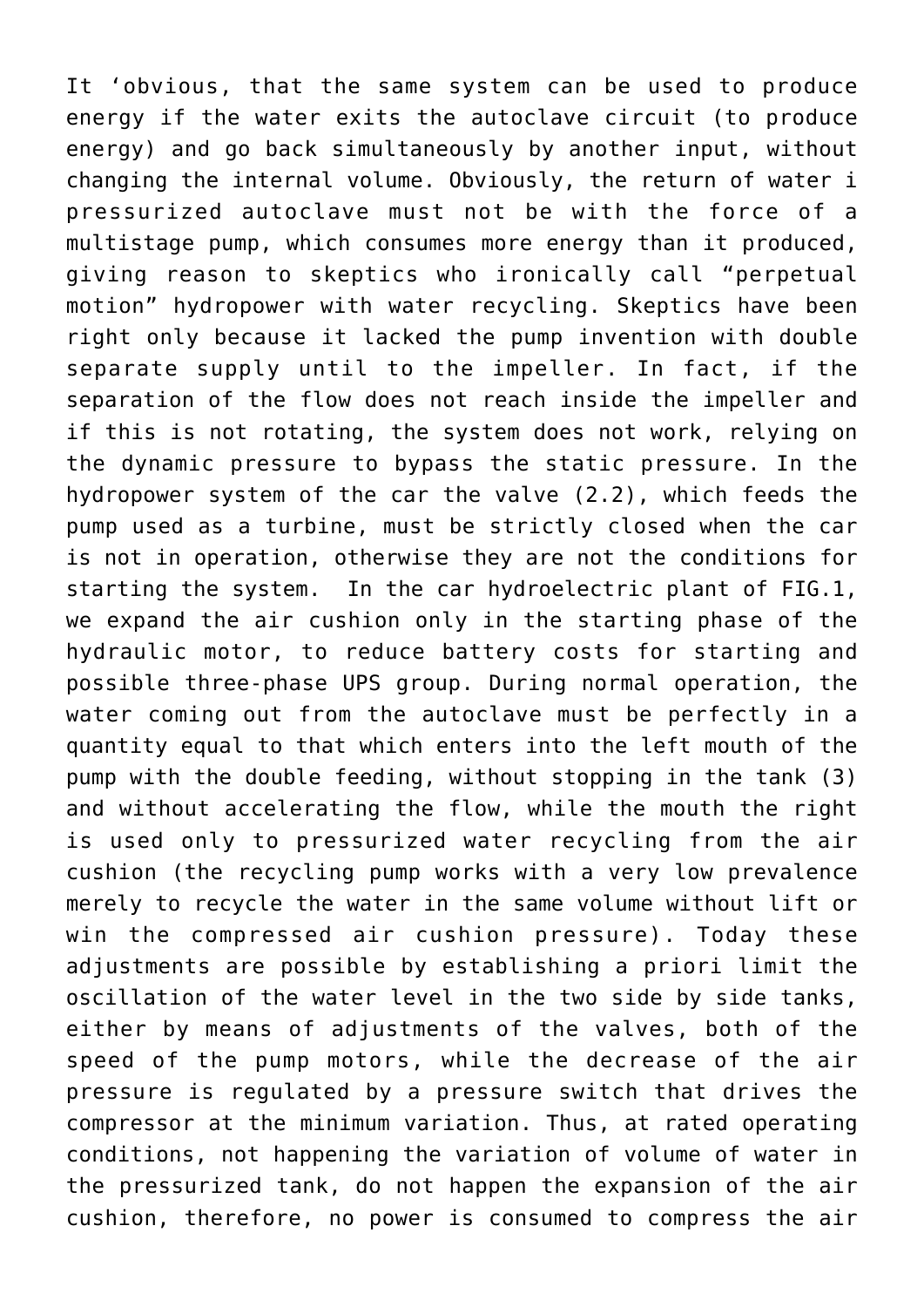It 'obvious, that the same system can be used to produce energy if the water exits the autoclave circuit (to produce energy) and go back simultaneously by another input, without changing the internal volume. Obviously, the return of water i pressurized autoclave must not be with the force of a multistage pump, which consumes more energy than it produced, giving reason to skeptics who ironically call "perpetual motion" hydropower with water recycling. Skeptics have been right only because it lacked the pump invention with double separate supply until to the impeller. In fact, if the separation of the flow does not reach inside the impeller and if this is not rotating, the system does not work, relying on the dynamic pressure to bypass the static pressure. In the hydropower system of the car the valve (2.2), which feeds the pump used as a turbine, must be strictly closed when the car is not in operation, otherwise they are not the conditions for starting the system. In the car hydroelectric plant of FIG.1, we expand the air cushion only in the starting phase of the hydraulic motor, to reduce battery costs for starting and possible three-phase UPS group. During normal operation, the water coming out from the autoclave must be perfectly in a quantity equal to that which enters into the left mouth of the pump with the double feeding, without stopping in the tank (3) and without accelerating the flow, while the mouth the right is used only to pressurized water recycling from the air cushion (the recycling pump works with a very low prevalence merely to recycle the water in the same volume without lift or win the compressed air cushion pressure). Today these adjustments are possible by establishing a priori limit the oscillation of the water level in the two side by side tanks, either by means of adjustments of the valves, both of the speed of the pump motors, while the decrease of the air pressure is regulated by a pressure switch that drives the compressor at the minimum variation. Thus, at rated operating conditions, not happening the variation of volume of water in the pressurized tank, do not happen the expansion of the air cushion, therefore, no power is consumed to compress the air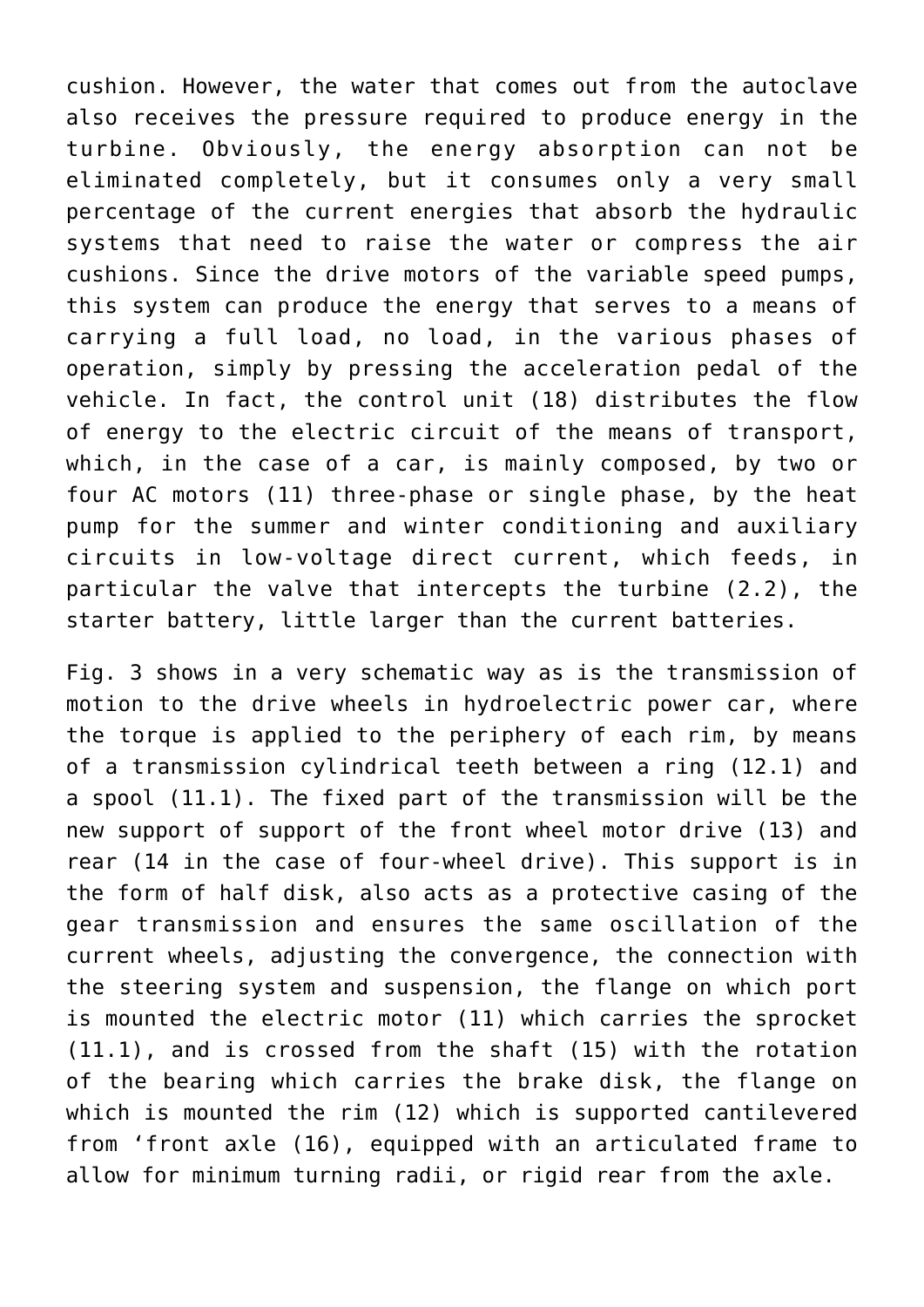cushion. However, the water that comes out from the autoclave also receives the pressure required to produce energy in the turbine. Obviously, the energy absorption can not be eliminated completely, but it consumes only a very small percentage of the current energies that absorb the hydraulic systems that need to raise the water or compress the air cushions. Since the drive motors of the variable speed pumps, this system can produce the energy that serves to a means of carrying a full load, no load, in the various phases of operation, simply by pressing the acceleration pedal of the vehicle. In fact, the control unit (18) distributes the flow of energy to the electric circuit of the means of transport, which, in the case of a car, is mainly composed, by two or four AC motors (11) three-phase or single phase, by the heat pump for the summer and winter conditioning and auxiliary circuits in low-voltage direct current, which feeds, in particular the valve that intercepts the turbine (2.2), the starter battery, little larger than the current batteries.

Fig. 3 shows in a very schematic way as is the transmission of motion to the drive wheels in hydroelectric power car, where the torque is applied to the periphery of each rim, by means of a transmission cylindrical teeth between a ring (12.1) and a spool (11.1). The fixed part of the transmission will be the new support of support of the front wheel motor drive (13) and rear (14 in the case of four-wheel drive). This support is in the form of half disk, also acts as a protective casing of the gear transmission and ensures the same oscillation of the current wheels, adjusting the convergence, the connection with the steering system and suspension, the flange on which port is mounted the electric motor (11) which carries the sprocket (11.1), and is crossed from the shaft (15) with the rotation of the bearing which carries the brake disk, the flange on which is mounted the rim (12) which is supported cantilevered from 'front axle (16), equipped with an articulated frame to allow for minimum turning radii, or rigid rear from the axle.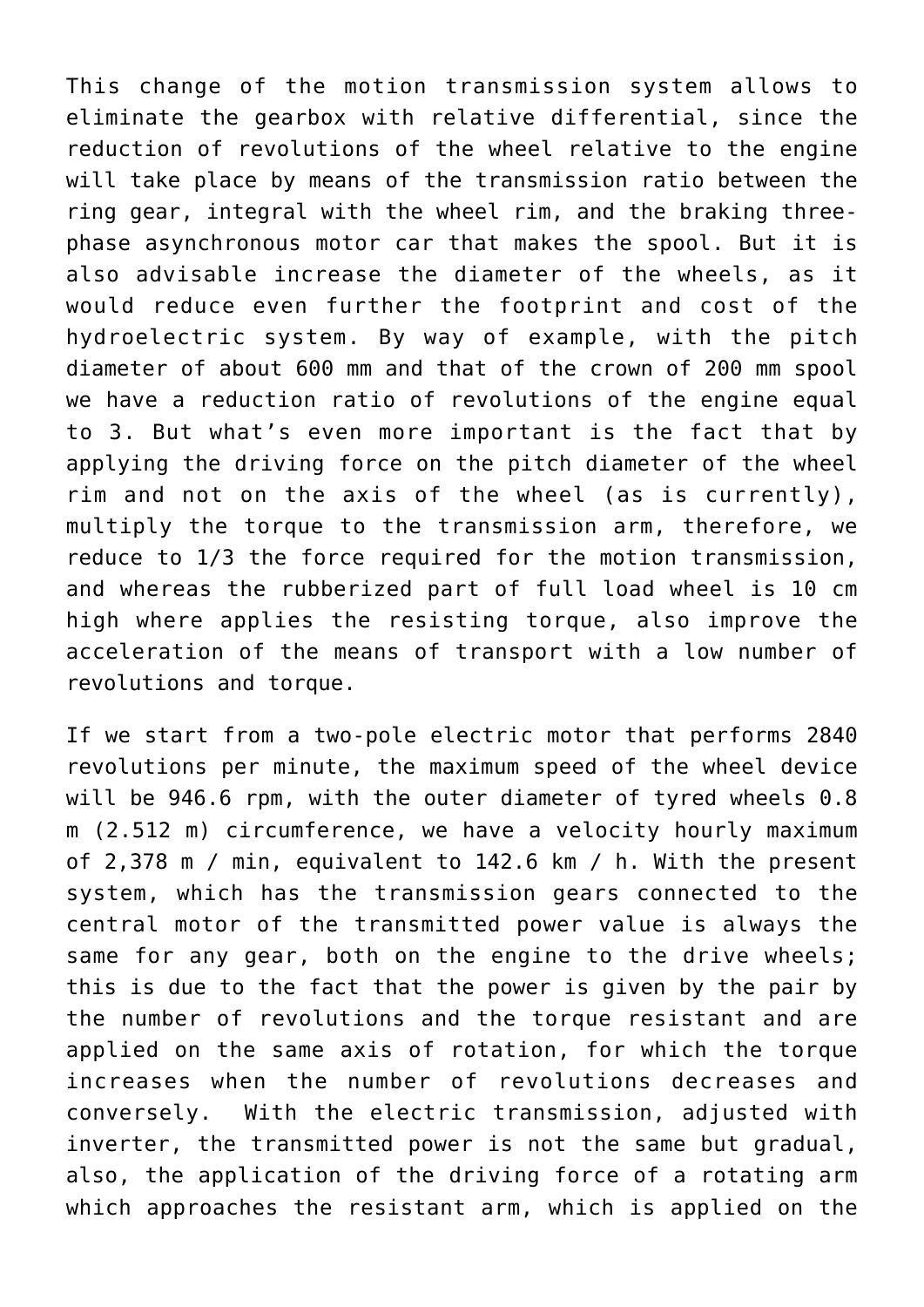This change of the motion transmission system allows to eliminate the gearbox with relative differential, since the reduction of revolutions of the wheel relative to the engine will take place by means of the transmission ratio between the ring gear, integral with the wheel rim, and the braking threephase asynchronous motor car that makes the spool. But it is also advisable increase the diameter of the wheels, as it would reduce even further the footprint and cost of the hydroelectric system. By way of example, with the pitch diameter of about 600 mm and that of the crown of 200 mm spool we have a reduction ratio of revolutions of the engine equal to 3. But what's even more important is the fact that by applying the driving force on the pitch diameter of the wheel rim and not on the axis of the wheel (as is currently), multiply the torque to the transmission arm, therefore, we reduce to 1/3 the force required for the motion transmission, and whereas the rubberized part of full load wheel is 10 cm high where applies the resisting torque, also improve the acceleration of the means of transport with a low number of revolutions and torque.

If we start from a two-pole electric motor that performs 2840 revolutions per minute, the maximum speed of the wheel device will be 946.6 rpm, with the outer diameter of tyred wheels 0.8 m (2.512 m) circumference, we have a velocity hourly maximum of 2,378 m / min, equivalent to 142.6 km / h. With the present system, which has the transmission gears connected to the central motor of the transmitted power value is always the same for any gear, both on the engine to the drive wheels; this is due to the fact that the power is given by the pair by the number of revolutions and the torque resistant and are applied on the same axis of rotation, for which the torque increases when the number of revolutions decreases and conversely. With the electric transmission, adjusted with inverter, the transmitted power is not the same but gradual, also, the application of the driving force of a rotating arm which approaches the resistant arm, which is applied on the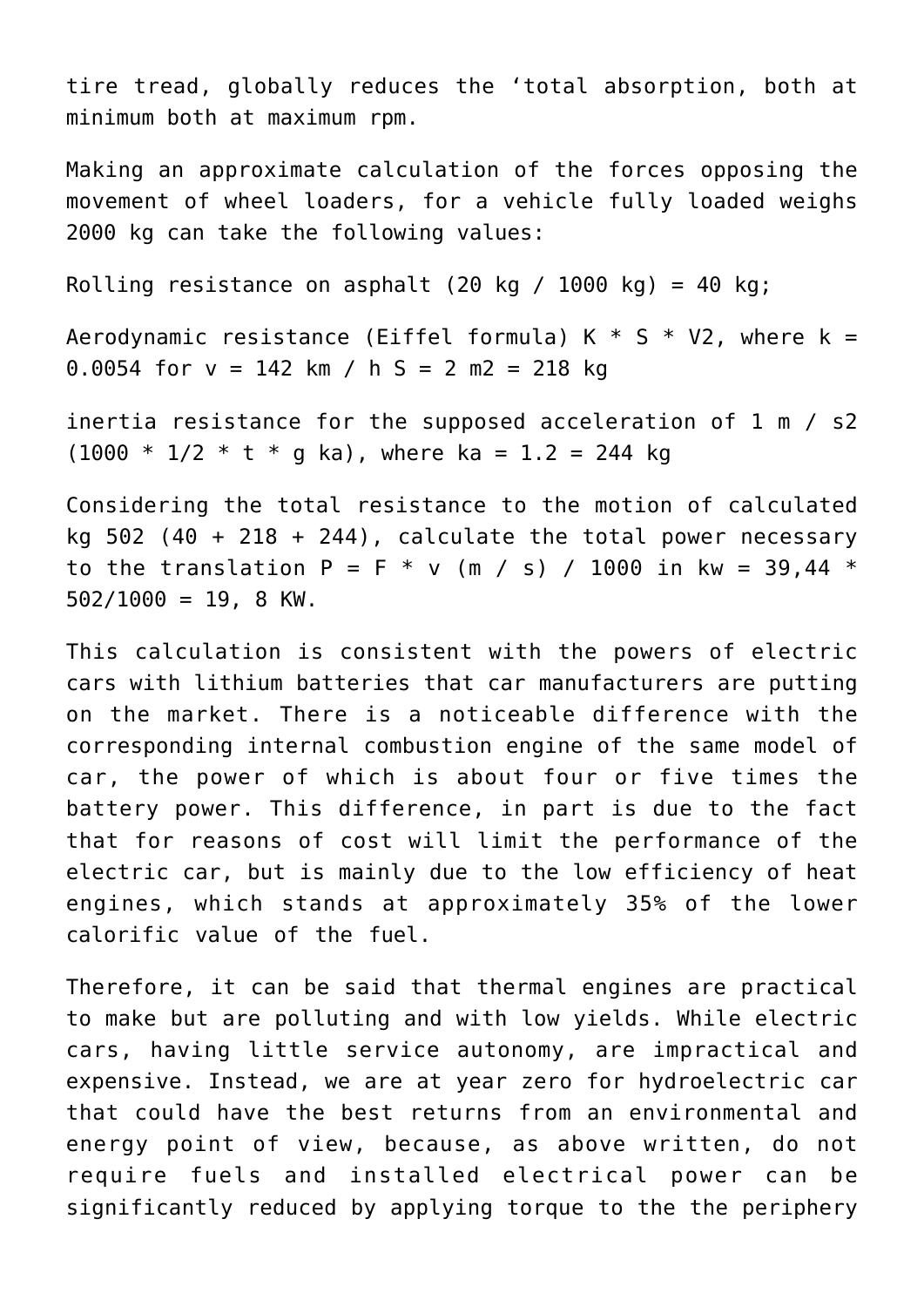tire tread, globally reduces the 'total absorption, both at minimum both at maximum rpm.

Making an approximate calculation of the forces opposing the movement of wheel loaders, for a vehicle fully loaded weighs 2000 kg can take the following values:

Rolling resistance on asphalt (20 kg / 1000 kg) = 40 kg;

Aerodynamic resistance (Eiffel formula) K  $*$  S  $*$  V2, where k = 0.0054 for  $v = 142$  km / h S = 2 m2 = 218 kg

inertia resistance for the supposed acceleration of 1 m / s2  $(1000 * 1/2 * t * q ka)$ , where ka = 1.2 = 244 kg

Considering the total resistance to the motion of calculated kg  $502$  (40 + 218 + 244), calculate the total power necessary to the translation P = F  $*$  v (m / s) / 1000 in kw = 39.44  $*$  $502/1000 = 19$ , 8 KW.

This calculation is consistent with the powers of electric cars with lithium batteries that car manufacturers are putting on the market. There is a noticeable difference with the corresponding internal combustion engine of the same model of car, the power of which is about four or five times the battery power. This difference, in part is due to the fact that for reasons of cost will limit the performance of the electric car, but is mainly due to the low efficiency of heat engines, which stands at approximately 35% of the lower calorific value of the fuel.

Therefore, it can be said that thermal engines are practical to make but are polluting and with low yields. While electric cars, having little service autonomy, are impractical and expensive. Instead, we are at year zero for hydroelectric car that could have the best returns from an environmental and energy point of view, because, as above written, do not require fuels and installed electrical power can be significantly reduced by applying torque to the the periphery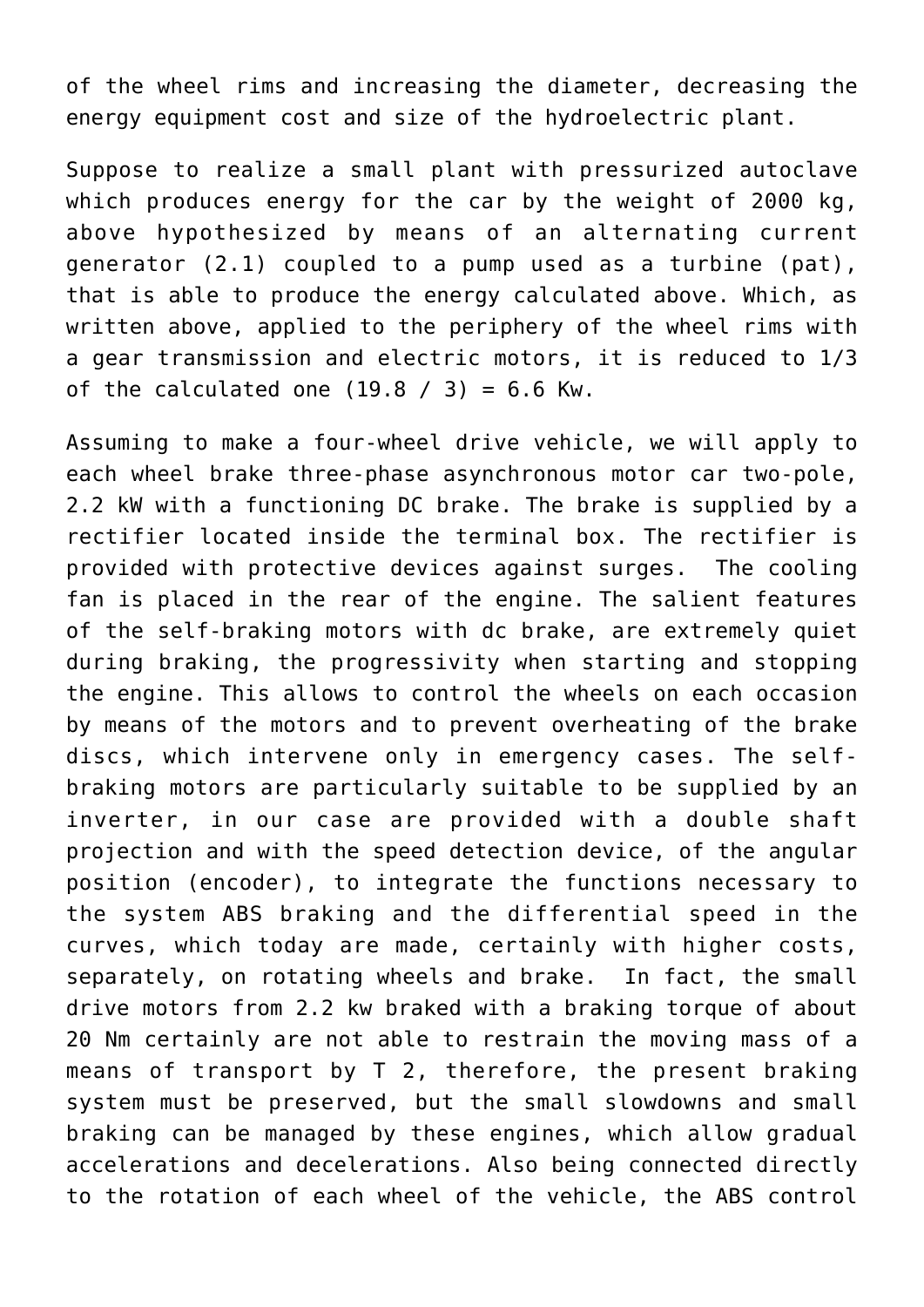of the wheel rims and increasing the diameter, decreasing the energy equipment cost and size of the hydroelectric plant.

Suppose to realize a small plant with pressurized autoclave which produces energy for the car by the weight of 2000 kg, above hypothesized by means of an alternating current generator (2.1) coupled to a pump used as a turbine (pat), that is able to produce the energy calculated above. Which, as written above, applied to the periphery of the wheel rims with a gear transmission and electric motors, it is reduced to 1/3 of the calculated one  $(19.8 / 3) = 6.6$  Kw.

Assuming to make a four-wheel drive vehicle, we will apply to each wheel brake three-phase asynchronous motor car two-pole, 2.2 kW with a functioning DC brake. The brake is supplied by a rectifier located inside the terminal box. The rectifier is provided with protective devices against surges. The cooling fan is placed in the rear of the engine. The salient features of the self-braking motors with dc brake, are extremely quiet during braking, the progressivity when starting and stopping the engine. This allows to control the wheels on each occasion by means of the motors and to prevent overheating of the brake discs, which intervene only in emergency cases. The selfbraking motors are particularly suitable to be supplied by an inverter, in our case are provided with a double shaft projection and with the speed detection device, of the angular position (encoder), to integrate the functions necessary to the system ABS braking and the differential speed in the curves, which today are made, certainly with higher costs, separately, on rotating wheels and brake. In fact, the small drive motors from 2.2 kw braked with a braking torque of about 20 Nm certainly are not able to restrain the moving mass of a means of transport by T 2, therefore, the present braking system must be preserved, but the small slowdowns and small braking can be managed by these engines, which allow gradual accelerations and decelerations. Also being connected directly to the rotation of each wheel of the vehicle, the ABS control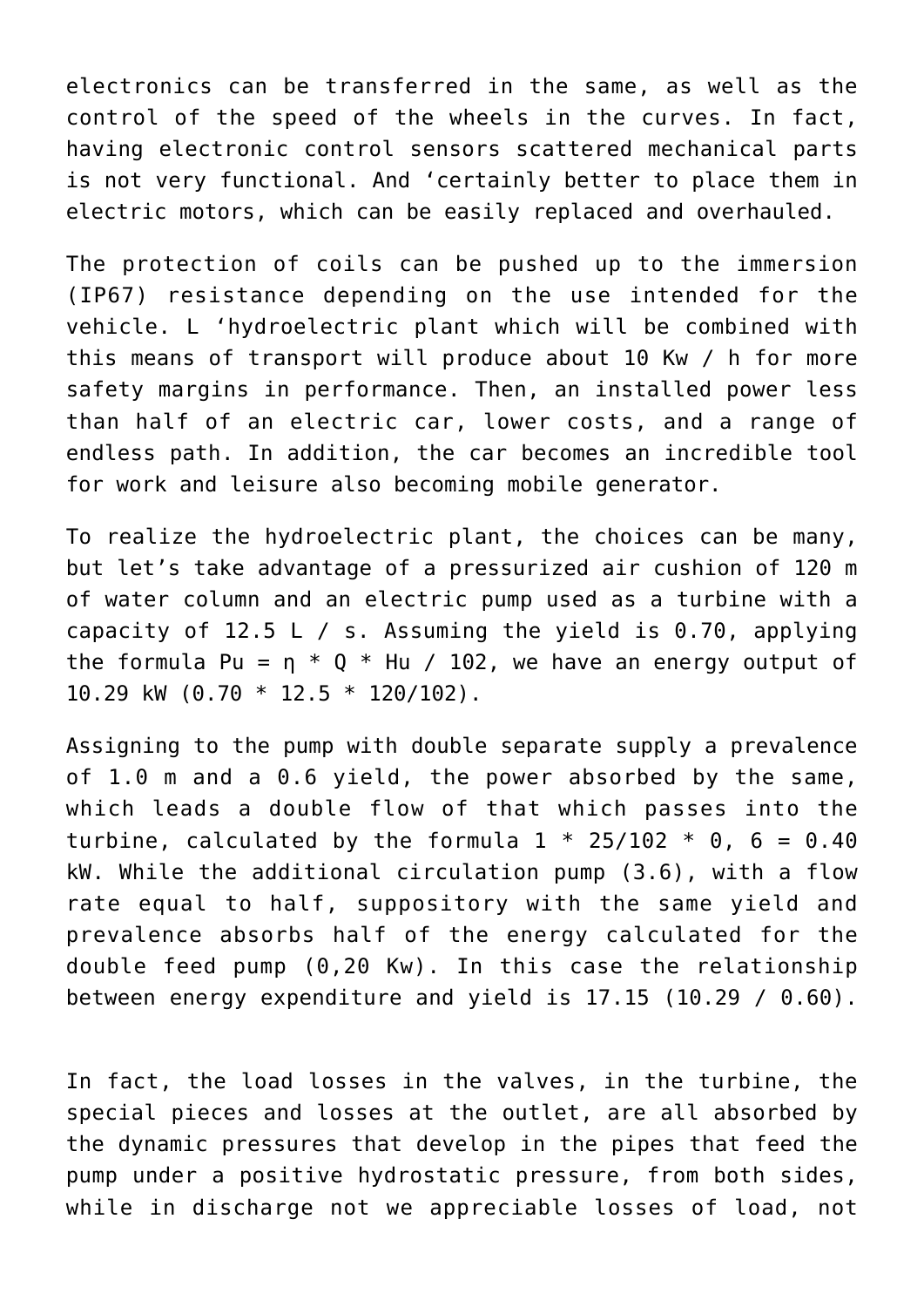electronics can be transferred in the same, as well as the control of the speed of the wheels in the curves. In fact, having electronic control sensors scattered mechanical parts is not very functional. And 'certainly better to place them in electric motors, which can be easily replaced and overhauled.

The protection of coils can be pushed up to the immersion (IP67) resistance depending on the use intended for the vehicle. L 'hydroelectric plant which will be combined with this means of transport will produce about 10 Kw / h for more safety margins in performance. Then, an installed power less than half of an electric car, lower costs, and a range of endless path. In addition, the car becomes an incredible tool for work and leisure also becoming mobile generator.

To realize the hydroelectric plant, the choices can be many, but let's take advantage of a pressurized air cushion of 120 m of water column and an electric pump used as a turbine with a capacity of 12.5 L / s. Assuming the yield is 0.70, applying the formula Pu =  $\eta * 0 * Hu / 102$ , we have an energy output of 10.29 kW (0.70 \* 12.5 \* 120/102).

Assigning to the pump with double separate supply a prevalence of 1.0 m and a 0.6 yield, the power absorbed by the same, which leads a double flow of that which passes into the turbine, calculated by the formula  $1 * 25/102 * 0$ , 6 = 0.40 kW. While the additional circulation pump (3.6), with a flow rate equal to half, suppository with the same yield and prevalence absorbs half of the energy calculated for the double feed pump (0,20 Kw). In this case the relationship between energy expenditure and yield is 17.15 (10.29 / 0.60).

In fact, the load losses in the valves, in the turbine, the special pieces and losses at the outlet, are all absorbed by the dynamic pressures that develop in the pipes that feed the pump under a positive hydrostatic pressure, from both sides, while in discharge not we appreciable losses of load, not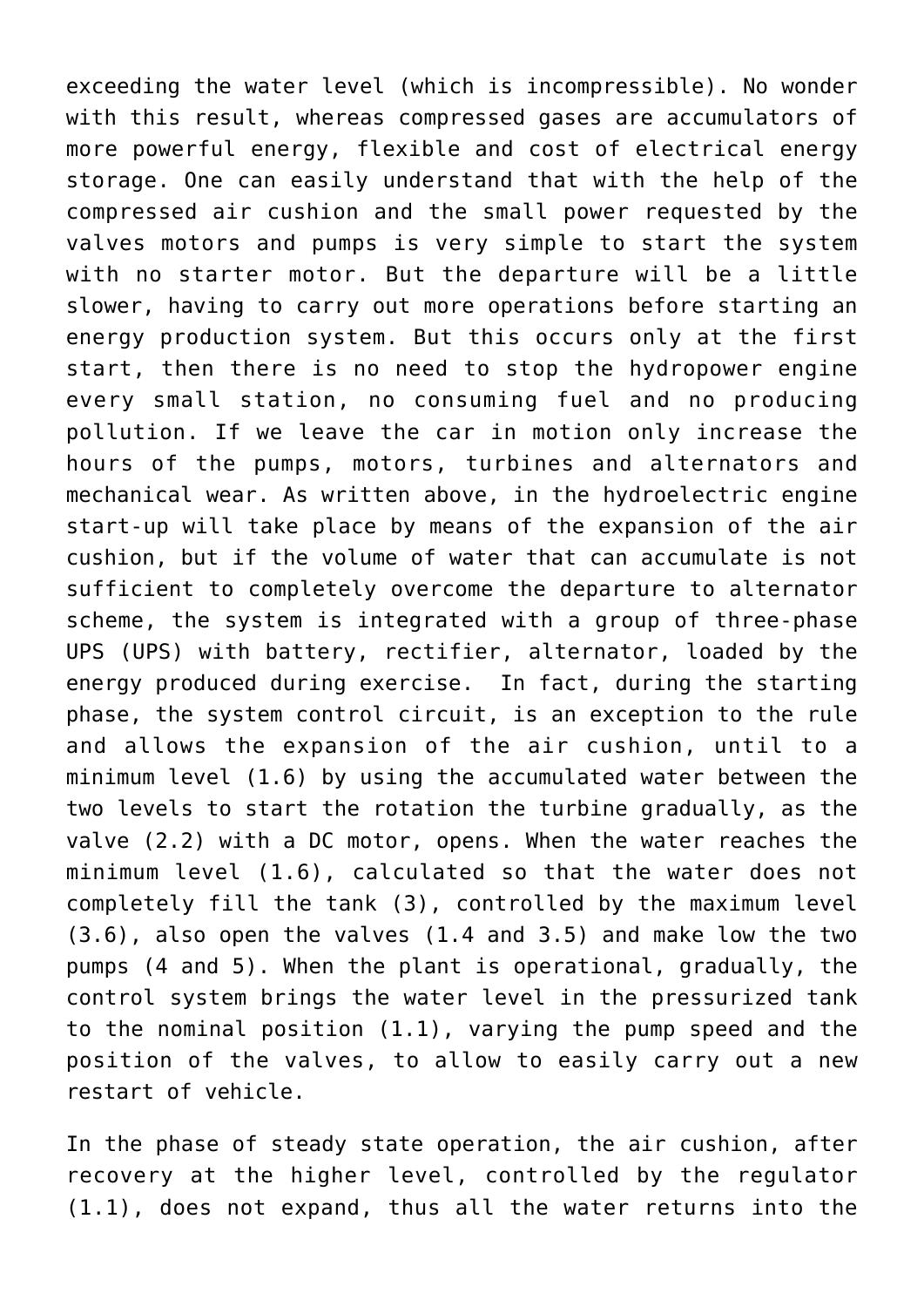exceeding the water level (which is incompressible). No wonder with this result, whereas compressed gases are accumulators of more powerful energy, flexible and cost of electrical energy storage. One can easily understand that with the help of the compressed air cushion and the small power requested by the valves motors and pumps is very simple to start the system with no starter motor. But the departure will be a little slower, having to carry out more operations before starting an energy production system. But this occurs only at the first start, then there is no need to stop the hydropower engine every small station, no consuming fuel and no producing pollution. If we leave the car in motion only increase the hours of the pumps, motors, turbines and alternators and mechanical wear. As written above, in the hydroelectric engine start-up will take place by means of the expansion of the air cushion, but if the volume of water that can accumulate is not sufficient to completely overcome the departure to alternator scheme, the system is integrated with a group of three-phase UPS (UPS) with battery, rectifier, alternator, loaded by the energy produced during exercise. In fact, during the starting phase, the system control circuit, is an exception to the rule and allows the expansion of the air cushion, until to a minimum level (1.6) by using the accumulated water between the two levels to start the rotation the turbine gradually, as the valve (2.2) with a DC motor, opens. When the water reaches the minimum level (1.6), calculated so that the water does not completely fill the tank (3), controlled by the maximum level (3.6), also open the valves (1.4 and 3.5) and make low the two pumps (4 and 5). When the plant is operational, gradually, the control system brings the water level in the pressurized tank to the nominal position (1.1), varying the pump speed and the position of the valves, to allow to easily carry out a new restart of vehicle.

In the phase of steady state operation, the air cushion, after recovery at the higher level, controlled by the regulator (1.1), does not expand, thus all the water returns into the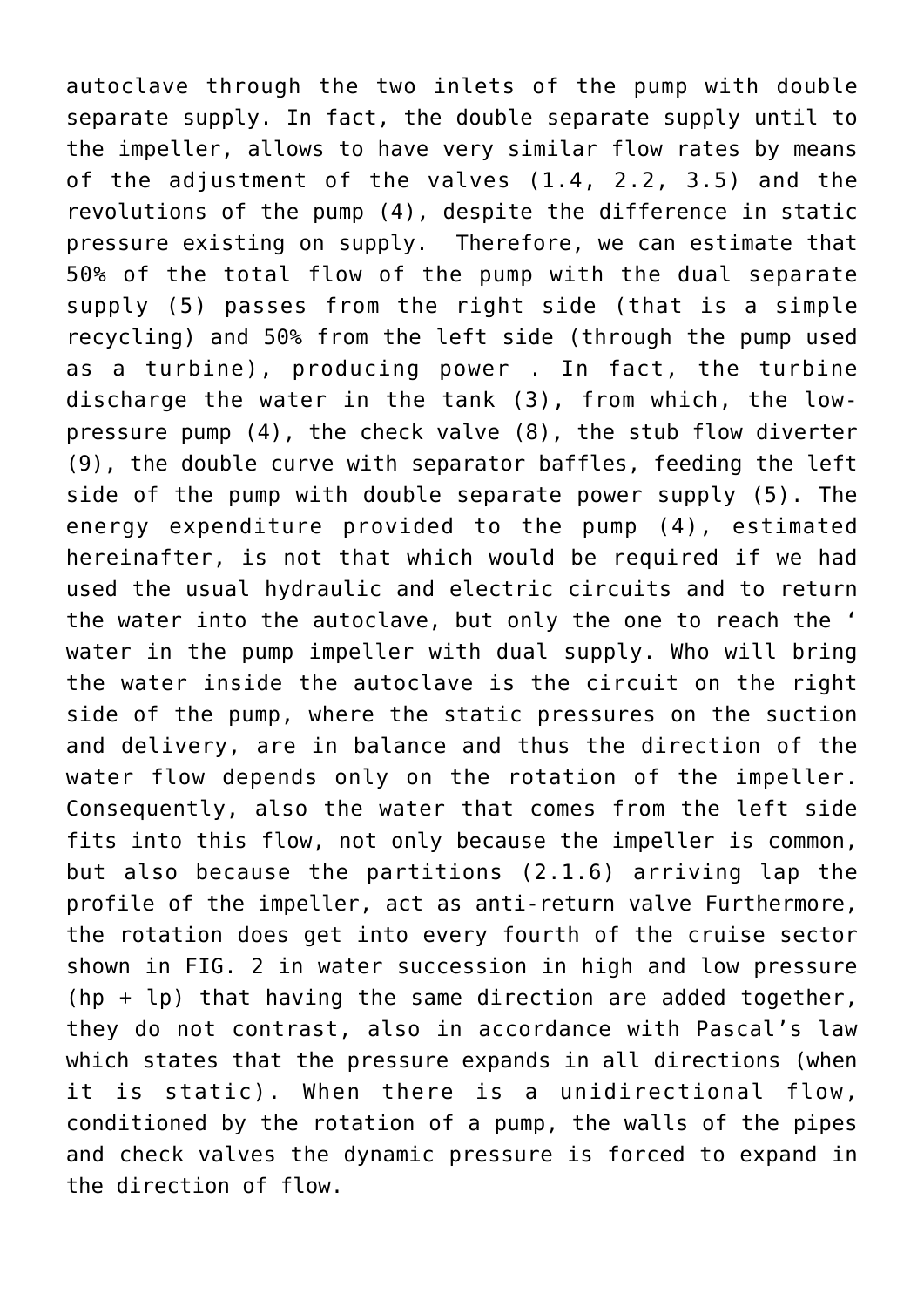autoclave through the two inlets of the pump with double separate supply. In fact, the double separate supply until to the impeller, allows to have very similar flow rates by means of the adjustment of the valves (1.4, 2.2, 3.5) and the revolutions of the pump (4), despite the difference in static pressure existing on supply. Therefore, we can estimate that 50% of the total flow of the pump with the dual separate supply (5) passes from the right side (that is a simple recycling) and 50% from the left side (through the pump used as a turbine), producing power . In fact, the turbine discharge the water in the tank (3), from which, the lowpressure pump (4), the check valve (8), the stub flow diverter (9), the double curve with separator baffles, feeding the left side of the pump with double separate power supply (5). The energy expenditure provided to the pump (4), estimated hereinafter, is not that which would be required if we had used the usual hydraulic and electric circuits and to return the water into the autoclave, but only the one to reach the ' water in the pump impeller with dual supply. Who will bring the water inside the autoclave is the circuit on the right side of the pump, where the static pressures on the suction and delivery, are in balance and thus the direction of the water flow depends only on the rotation of the impeller. Consequently, also the water that comes from the left side fits into this flow, not only because the impeller is common, but also because the partitions (2.1.6) arriving lap the profile of the impeller, act as anti-return valve Furthermore, the rotation does get into every fourth of the cruise sector shown in FIG. 2 in water succession in high and low pressure (hp + lp) that having the same direction are added together, they do not contrast, also in accordance with Pascal's law which states that the pressure expands in all directions (when it is static). When there is a unidirectional flow, conditioned by the rotation of a pump, the walls of the pipes and check valves the dynamic pressure is forced to expand in the direction of flow.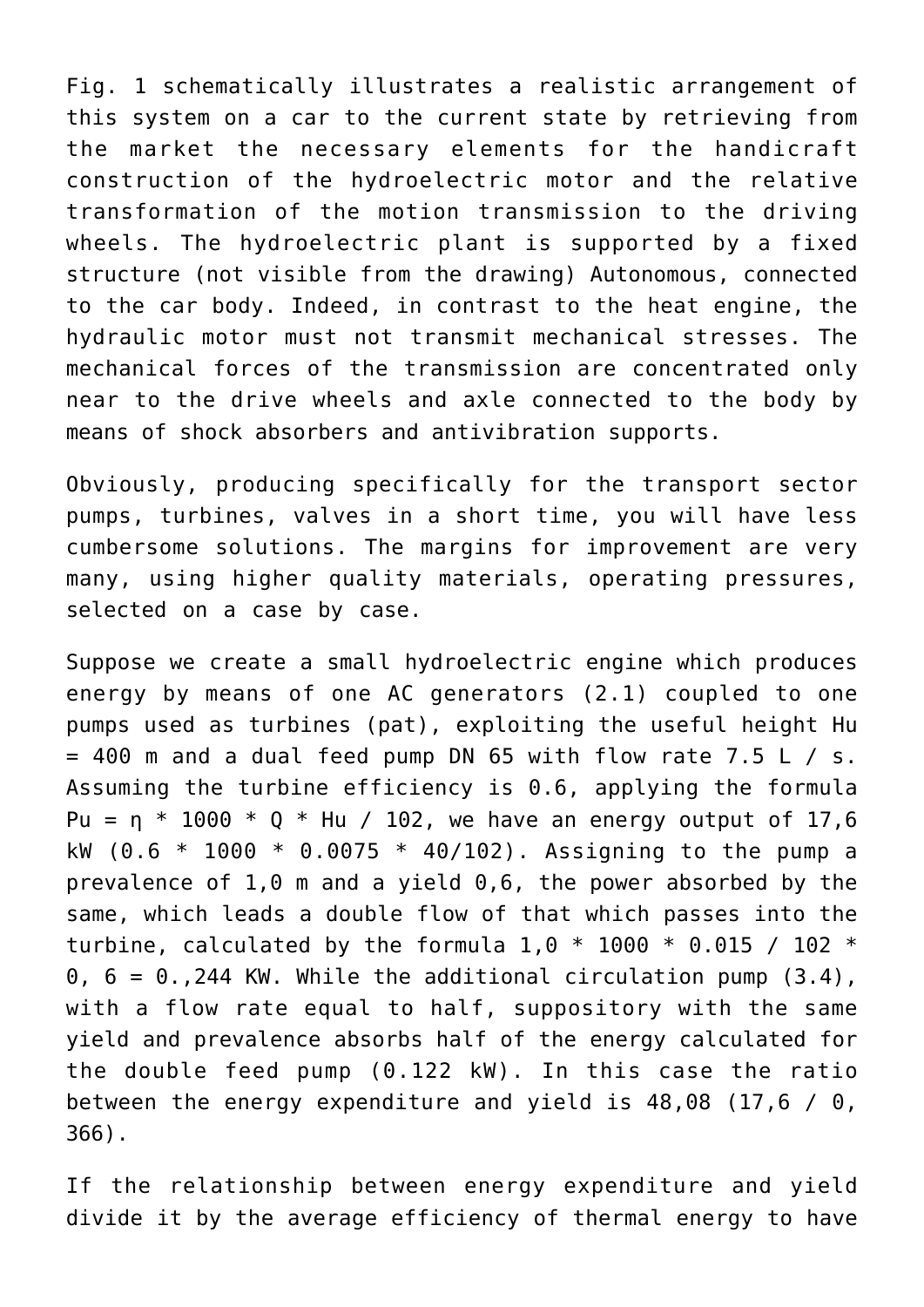Fig. 1 schematically illustrates a realistic arrangement of this system on a car to the current state by retrieving from the market the necessary elements for the handicraft construction of the hydroelectric motor and the relative transformation of the motion transmission to the driving wheels. The hydroelectric plant is supported by a fixed structure (not visible from the drawing) Autonomous, connected to the car body. Indeed, in contrast to the heat engine, the hydraulic motor must not transmit mechanical stresses. The mechanical forces of the transmission are concentrated only near to the drive wheels and axle connected to the body by means of shock absorbers and antivibration supports.

Obviously, producing specifically for the transport sector pumps, turbines, valves in a short time, you will have less cumbersome solutions. The margins for improvement are very many, using higher quality materials, operating pressures, selected on a case by case.

Suppose we create a small hydroelectric engine which produces energy by means of one AC generators (2.1) coupled to one pumps used as turbines (pat), exploiting the useful height Hu  $= 400$  m and a dual feed pump DN 65 with flow rate 7.5 L / s. Assuming the turbine efficiency is 0.6, applying the formula Pu =  $\eta$  \* 1000 \* Q \* Hu / 102, we have an energy output of 17,6 kW  $(0.6 * 1000 * 0.0075 * 40/102)$ . Assigning to the pump a prevalence of 1,0 m and a yield 0,6, the power absorbed by the same, which leads a double flow of that which passes into the turbine, calculated by the formula  $1,0$  \* 1000 \* 0.015 / 102 \*  $0, 6 = 0$ ., 244 KW. While the additional circulation pump  $(3.4)$ , with a flow rate equal to half, suppository with the same yield and prevalence absorbs half of the energy calculated for the double feed pump (0.122 kW). In this case the ratio between the energy expenditure and yield is 48,08 (17,6 / 0, 366).

If the relationship between energy expenditure and yield divide it by the average efficiency of thermal energy to have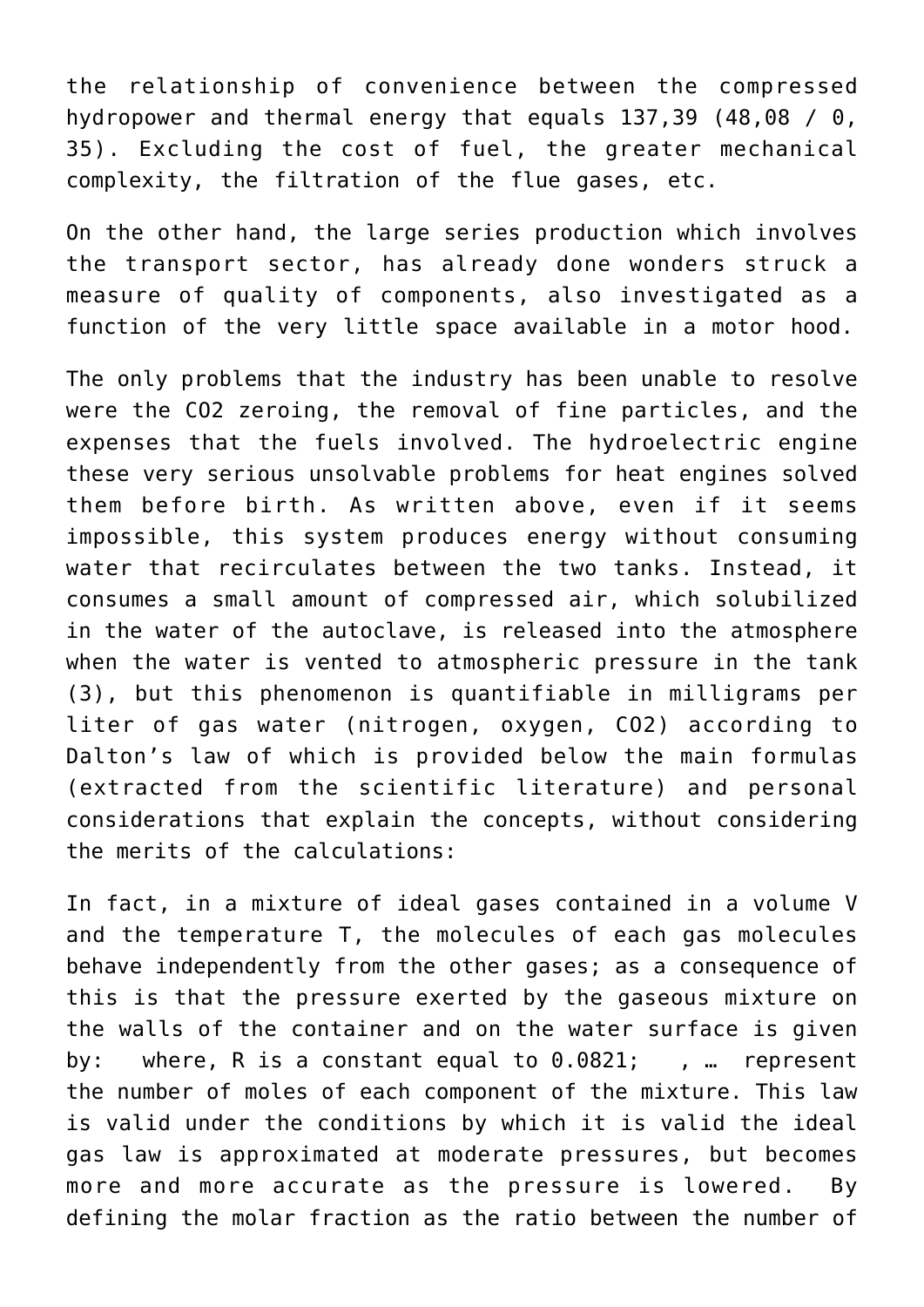the relationship of convenience between the compressed hydropower and thermal energy that equals 137,39 (48,08 / 0, 35). Excluding the cost of fuel, the greater mechanical complexity, the filtration of the flue gases, etc.

On the other hand, the large series production which involves the transport sector, has already done wonders struck a measure of quality of components, also investigated as a function of the very little space available in a motor hood.

The only problems that the industry has been unable to resolve were the CO2 zeroing, the removal of fine particles, and the expenses that the fuels involved. The hydroelectric engine these very serious unsolvable problems for heat engines solved them before birth. As written above, even if it seems impossible, this system produces energy without consuming water that recirculates between the two tanks. Instead, it consumes a small amount of compressed air, which solubilized in the water of the autoclave, is released into the atmosphere when the water is vented to atmospheric pressure in the tank (3), but this phenomenon is quantifiable in milligrams per liter of gas water (nitrogen, oxygen, CO2) according to Dalton's law of which is provided below the main formulas (extracted from the scientific literature) and personal considerations that explain the concepts, without considering the merits of the calculations:

In fact, in a mixture of ideal gases contained in a volume V and the temperature T, the molecules of each gas molecules behave independently from the other gases; as a consequence of this is that the pressure exerted by the gaseous mixture on the walls of the container and on the water surface is given by: where, R is a constant equal to 0.0821; , … represent the number of moles of each component of the mixture. This law is valid under the conditions by which it is valid the ideal gas law is approximated at moderate pressures, but becomes more and more accurate as the pressure is lowered. By defining the molar fraction as the ratio between the number of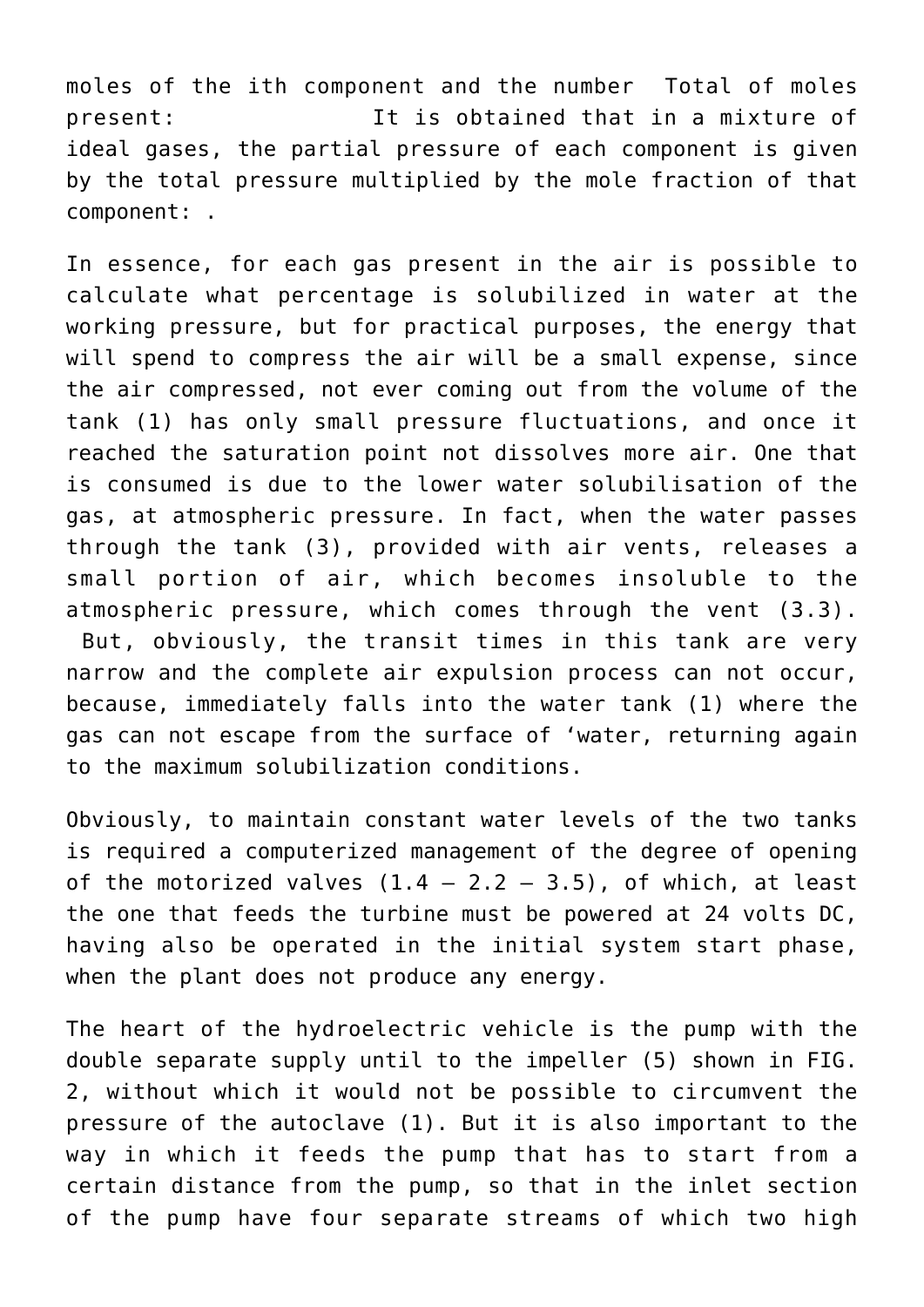moles of the ith component and the number Total of moles present: It is obtained that in a mixture of ideal gases, the partial pressure of each component is given by the total pressure multiplied by the mole fraction of that component: .

In essence, for each gas present in the air is possible to calculate what percentage is solubilized in water at the working pressure, but for practical purposes, the energy that will spend to compress the air will be a small expense, since the air compressed, not ever coming out from the volume of the tank (1) has only small pressure fluctuations, and once it reached the saturation point not dissolves more air. One that is consumed is due to the lower water solubilisation of the gas, at atmospheric pressure. In fact, when the water passes through the tank (3), provided with air vents, releases a small portion of air, which becomes insoluble to the atmospheric pressure, which comes through the vent (3.3). But, obviously, the transit times in this tank are very

narrow and the complete air expulsion process can not occur, because, immediately falls into the water tank (1) where the gas can not escape from the surface of 'water, returning again to the maximum solubilization conditions.

Obviously, to maintain constant water levels of the two tanks is required a computerized management of the degree of opening of the motorized valves  $(1.4 - 2.2 - 3.5)$ , of which, at least the one that feeds the turbine must be powered at 24 volts DC, having also be operated in the initial system start phase, when the plant does not produce any energy.

The heart of the hydroelectric vehicle is the pump with the double separate supply until to the impeller (5) shown in FIG. 2, without which it would not be possible to circumvent the pressure of the autoclave (1). But it is also important to the way in which it feeds the pump that has to start from a certain distance from the pump, so that in the inlet section of the pump have four separate streams of which two high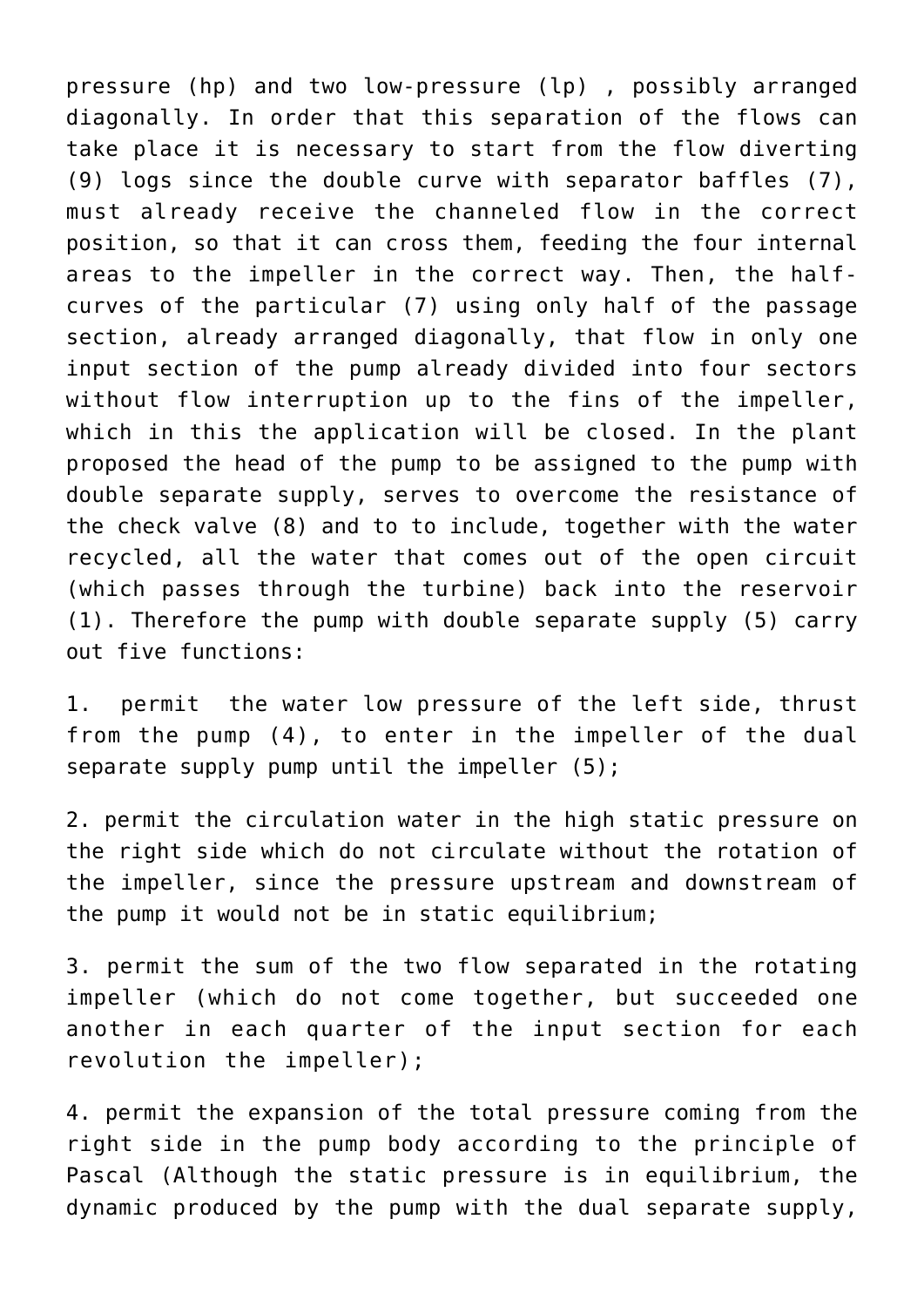pressure (hp) and two low-pressure (lp) , possibly arranged diagonally. In order that this separation of the flows can take place it is necessary to start from the flow diverting (9) logs since the double curve with separator baffles (7), must already receive the channeled flow in the correct position, so that it can cross them, feeding the four internal areas to the impeller in the correct way. Then, the halfcurves of the particular (7) using only half of the passage section, already arranged diagonally, that flow in only one input section of the pump already divided into four sectors without flow interruption up to the fins of the impeller, which in this the application will be closed. In the plant proposed the head of the pump to be assigned to the pump with double separate supply, serves to overcome the resistance of the check valve (8) and to to include, together with the water recycled, all the water that comes out of the open circuit (which passes through the turbine) back into the reservoir (1). Therefore the pump with double separate supply (5) carry out five functions:

1. permit the water low pressure of the left side, thrust from the pump (4), to enter in the impeller of the dual separate supply pump until the impeller (5);

2. permit the circulation water in the high static pressure on the right side which do not circulate without the rotation of the impeller, since the pressure upstream and downstream of the pump it would not be in static equilibrium;

3. permit the sum of the two flow separated in the rotating impeller (which do not come together, but succeeded one another in each quarter of the input section for each revolution the impeller);

4. permit the expansion of the total pressure coming from the right side in the pump body according to the principle of Pascal (Although the static pressure is in equilibrium, the dynamic produced by the pump with the dual separate supply,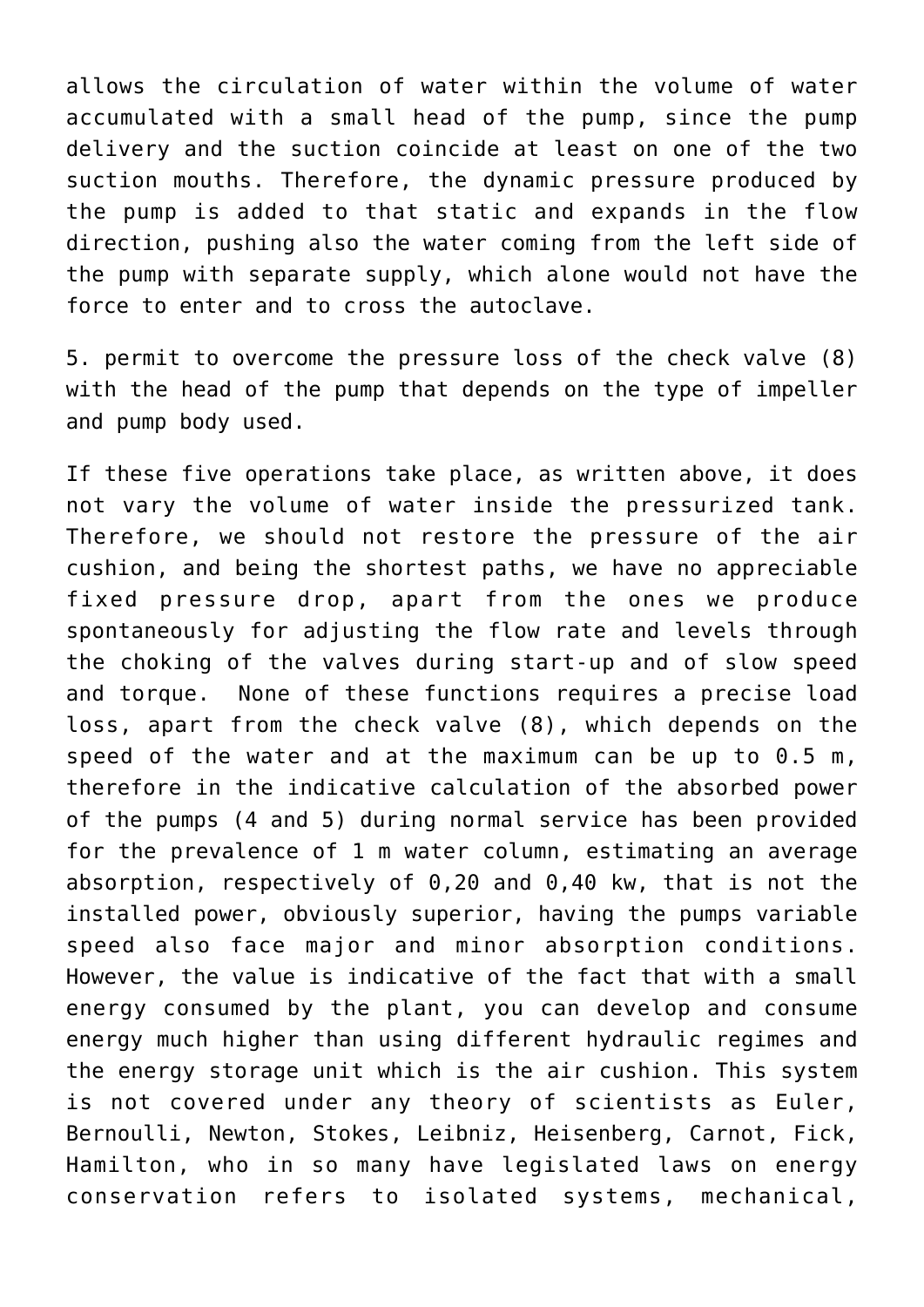allows the circulation of water within the volume of water accumulated with a small head of the pump, since the pump delivery and the suction coincide at least on one of the two suction mouths. Therefore, the dynamic pressure produced by the pump is added to that static and expands in the flow direction, pushing also the water coming from the left side of the pump with separate supply, which alone would not have the force to enter and to cross the autoclave.

5. permit to overcome the pressure loss of the check valve (8) with the head of the pump that depends on the type of impeller and pump body used.

If these five operations take place, as written above, it does not vary the volume of water inside the pressurized tank. Therefore, we should not restore the pressure of the air cushion, and being the shortest paths, we have no appreciable fixed pressure drop, apart from the ones we produce spontaneously for adjusting the flow rate and levels through the choking of the valves during start-up and of slow speed and torque. None of these functions requires a precise load loss, apart from the check valve (8), which depends on the speed of the water and at the maximum can be up to 0.5 m, therefore in the indicative calculation of the absorbed power of the pumps (4 and 5) during normal service has been provided for the prevalence of 1 m water column, estimating an average absorption, respectively of 0,20 and 0,40 kw, that is not the installed power, obviously superior, having the pumps variable speed also face major and minor absorption conditions. However, the value is indicative of the fact that with a small energy consumed by the plant, you can develop and consume energy much higher than using different hydraulic regimes and the energy storage unit which is the air cushion. This system is not covered under any theory of scientists as Euler, Bernoulli, Newton, Stokes, Leibniz, Heisenberg, Carnot, Fick, Hamilton, who in so many have legislated laws on energy conservation refers to isolated systems, mechanical,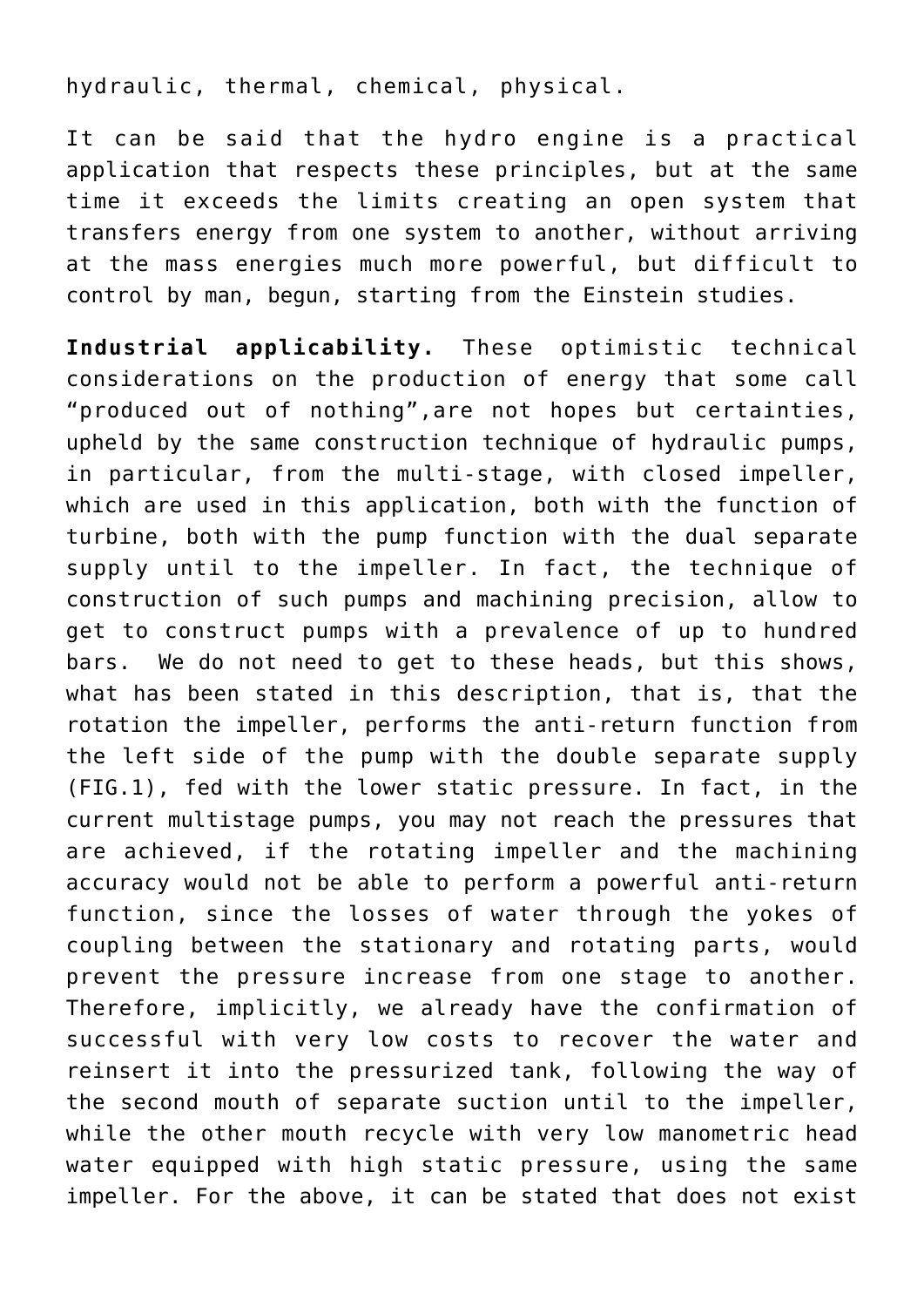hydraulic, thermal, chemical, physical.

It can be said that the hydro engine is a practical application that respects these principles, but at the same time it exceeds the limits creating an open system that transfers energy from one system to another, without arriving at the mass energies much more powerful, but difficult to control by man, begun, starting from the Einstein studies.

**Industrial applicability.** These optimistic technical considerations on the production of energy that some call "produced out of nothing",are not hopes but certainties, upheld by the same construction technique of hydraulic pumps, in particular, from the multi-stage, with closed impeller, which are used in this application, both with the function of turbine, both with the pump function with the dual separate supply until to the impeller. In fact, the technique of construction of such pumps and machining precision, allow to get to construct pumps with a prevalence of up to hundred bars. We do not need to get to these heads, but this shows, what has been stated in this description, that is, that the rotation the impeller, performs the anti-return function from the left side of the pump with the double separate supply (FIG.1), fed with the lower static pressure. In fact, in the current multistage pumps, you may not reach the pressures that are achieved, if the rotating impeller and the machining accuracy would not be able to perform a powerful anti-return function, since the losses of water through the yokes of coupling between the stationary and rotating parts, would prevent the pressure increase from one stage to another. Therefore, implicitly, we already have the confirmation of successful with very low costs to recover the water and reinsert it into the pressurized tank, following the way of the second mouth of separate suction until to the impeller, while the other mouth recycle with very low manometric head water equipped with high static pressure, using the same impeller. For the above, it can be stated that does not exist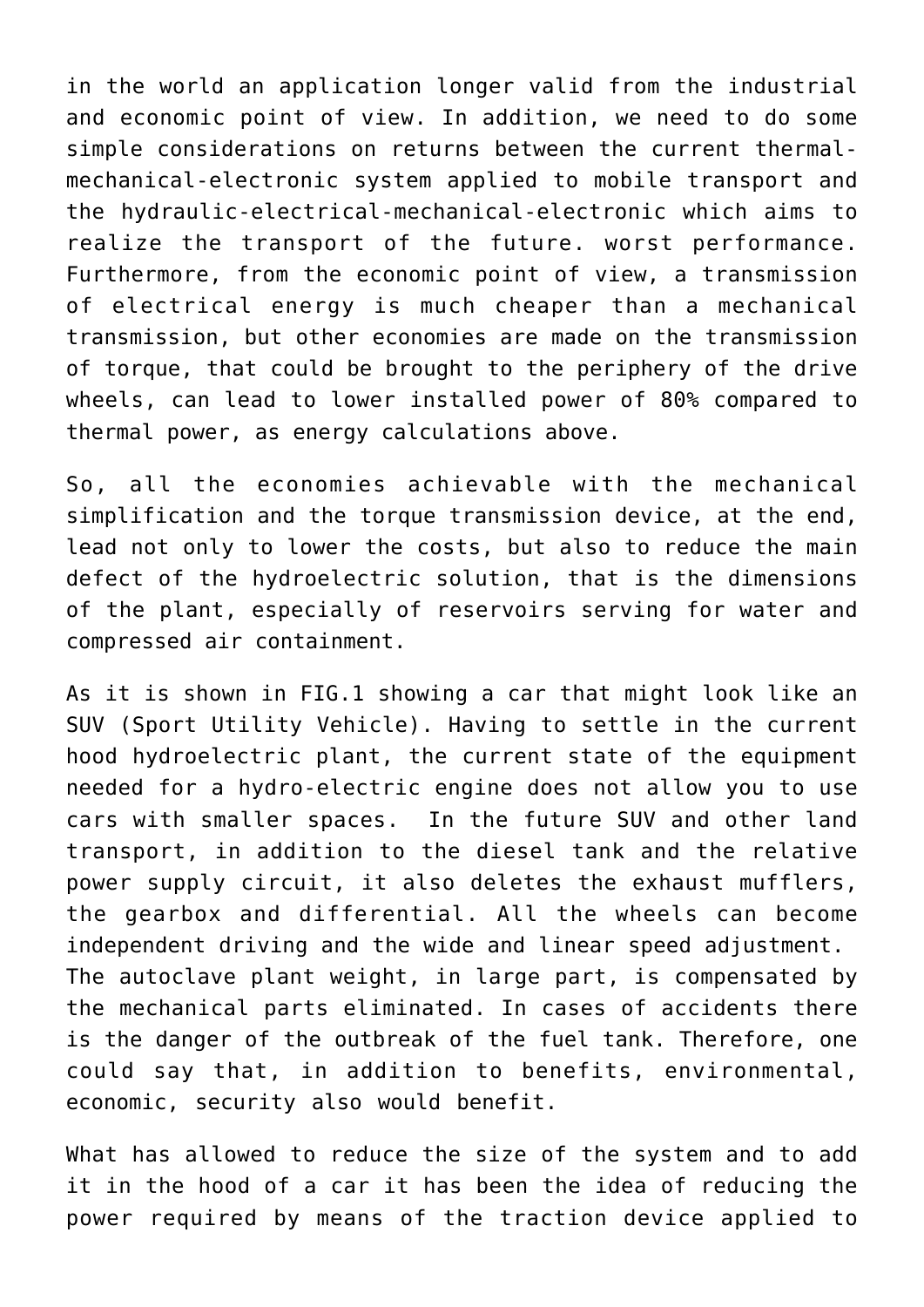in the world an application longer valid from the industrial and economic point of view. In addition, we need to do some simple considerations on returns between the current thermalmechanical-electronic system applied to mobile transport and the hydraulic-electrical-mechanical-electronic which aims to realize the transport of the future. worst performance. Furthermore, from the economic point of view, a transmission of electrical energy is much cheaper than a mechanical transmission, but other economies are made on the transmission of torque, that could be brought to the periphery of the drive wheels, can lead to lower installed power of 80% compared to thermal power, as energy calculations above.

So, all the economies achievable with the mechanical simplification and the torque transmission device, at the end, lead not only to lower the costs, but also to reduce the main defect of the hydroelectric solution, that is the dimensions of the plant, especially of reservoirs serving for water and compressed air containment.

As it is shown in FIG.1 showing a car that might look like an SUV (Sport Utility Vehicle). Having to settle in the current hood hydroelectric plant, the current state of the equipment needed for a hydro-electric engine does not allow you to use cars with smaller spaces. In the future SUV and other land transport, in addition to the diesel tank and the relative power supply circuit, it also deletes the exhaust mufflers, the gearbox and differential. All the wheels can become independent driving and the wide and linear speed adjustment. The autoclave plant weight, in large part, is compensated by the mechanical parts eliminated. In cases of accidents there is the danger of the outbreak of the fuel tank. Therefore, one could say that, in addition to benefits, environmental, economic, security also would benefit.

What has allowed to reduce the size of the system and to add it in the hood of a car it has been the idea of reducing the power required by means of the traction device applied to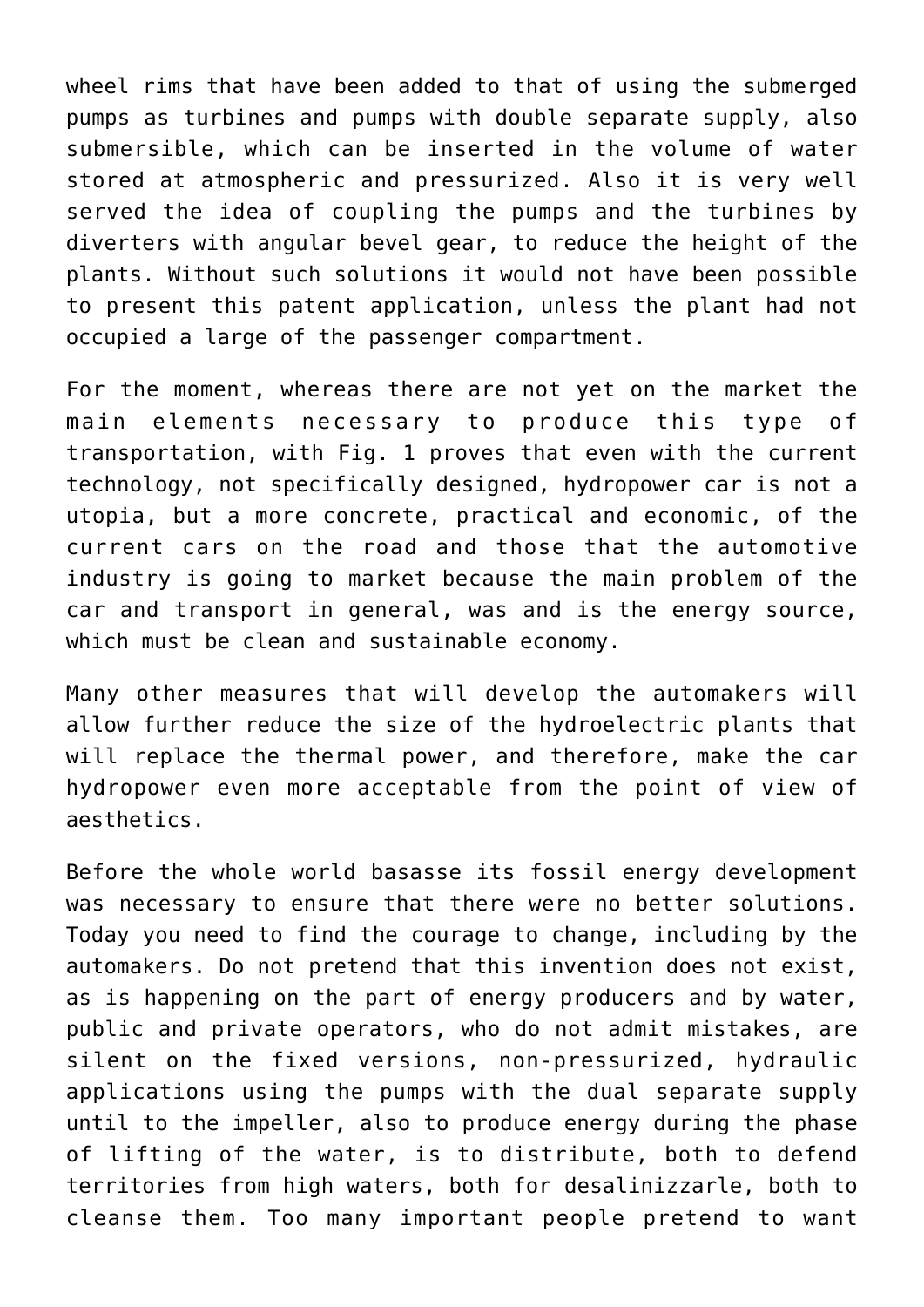wheel rims that have been added to that of using the submerged pumps as turbines and pumps with double separate supply, also submersible, which can be inserted in the volume of water stored at atmospheric and pressurized. Also it is very well served the idea of coupling the pumps and the turbines by diverters with angular bevel gear, to reduce the height of the plants. Without such solutions it would not have been possible to present this patent application, unless the plant had not occupied a large of the passenger compartment.

For the moment, whereas there are not yet on the market the main elements necessary to produce this type of transportation, with Fig. 1 proves that even with the current technology, not specifically designed, hydropower car is not a utopia, but a more concrete, practical and economic, of the current cars on the road and those that the automotive industry is going to market because the main problem of the car and transport in general, was and is the energy source, which must be clean and sustainable economy.

Many other measures that will develop the automakers will allow further reduce the size of the hydroelectric plants that will replace the thermal power, and therefore, make the car hydropower even more acceptable from the point of view of aesthetics.

Before the whole world basasse its fossil energy development was necessary to ensure that there were no better solutions. Today you need to find the courage to change, including by the automakers. Do not pretend that this invention does not exist, as is happening on the part of energy producers and by water, public and private operators, who do not admit mistakes, are silent on the fixed versions, non-pressurized, hydraulic applications using the pumps with the dual separate supply until to the impeller, also to produce energy during the phase of lifting of the water, is to distribute, both to defend territories from high waters, both for desalinizzarle, both to cleanse them. Too many important people pretend to want